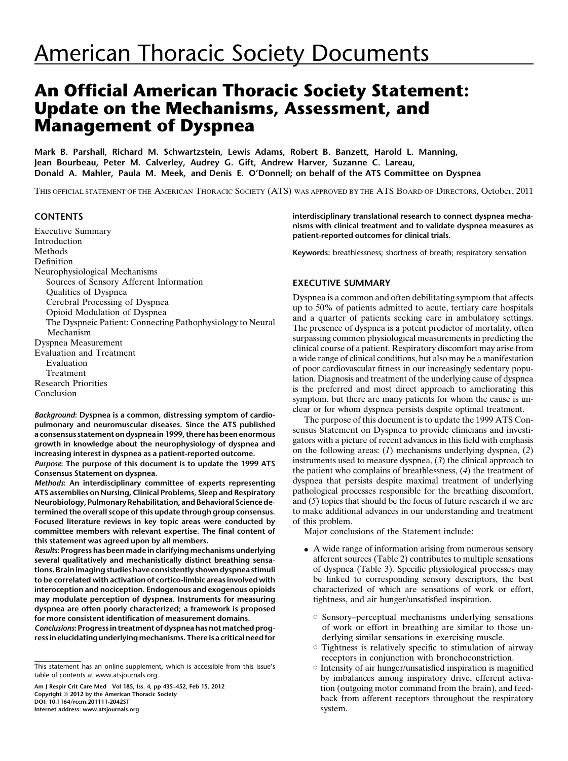# An Official American Thoracic Society Statement: Update on the Mechanisms, Assessment, and Management of Dyspnea

Mark B. Parshall, Richard M. Schwartzstein, Lewis Adams, Robert B. Banzett, Harold L. Manning, Jean Bourbeau, Peter M. Calverley, Audrey G. Gift, Andrew Harver, Suzanne C. Lareau, Donald A. Mahler, Paula M. Meek, and Denis E. O'Donnell; on behalf of the ATS Committee on Dyspnea

THIS OFFICIAL STATEMENT OF THE AMERICAN THORACIC SOCIETY (ATS) WAS APPROVED BY THE ATS BOARD OF DIRECTORS, October, 2011

# **CONTENTS**

Executive Summary Introduction Methods Definition Neurophysiological Mechanisms Sources of Sensory Afferent Information Qualities of Dyspnea Cerebral Processing of Dyspnea Opioid Modulation of Dyspnea The Dyspneic Patient: Connecting Pathophysiology to Neural Mechanism Dyspnea Measurement Evaluation and Treatment Evaluation Treatment Research Priorities Conclusion

Background: Dyspnea is a common, distressing symptom of cardiopulmonary and neuromuscular diseases. Since the ATS published a consensus statement on dyspnea in 1999, there has been enormous growth in knowledge about the neurophysiology of dyspnea and increasing interest in dyspnea as a patient-reported outcome.

Purpose: The purpose of this document is to update the 1999 ATS Consensus Statement on dyspnea.

Methods: An interdisciplinary committee of experts representing ATS assemblies on Nursing, Clinical Problems, Sleep and Respiratory Neurobiology, Pulmonary Rehabilitation, and Behavioral Science determined the overall scope of this update through group consensus. Focused literature reviews in key topic areas were conducted by committee members with relevant expertise. The final content of this statement was agreed upon by all members.

Results: Progress has been made in clarifying mechanisms underlying several qualitatively and mechanistically distinct breathing sensations. Brain imaging studies have consistently shown dyspnea stimuli to be correlated with activation of cortico-limbic areas involved with interoception and nociception. Endogenous and exogenous opioids may modulate perception of dyspnea. Instruments for measuring dyspnea are often poorly characterized; a framework is proposed for more consistent identification of measurement domains.

Conclusions: Progress in treatment of dyspnea has not matched progress in elucidating underlying mechanisms. There is a critical need for

This statement has an online supplement, which is accessible from this issue's table of contents at<www.atsjournals.org>.

Am J Respir Crit Care Med Vol 185, Iss. 4, pp 435–452, Feb 15, 2012 Copyright © 2012 by the American Thoracic Society DOI: 10.1164/rccm.201111-2042ST Internet address: www.atsjournals.org

interdisciplinary translational research to connect dyspnea mechanisms with clinical treatment and to validate dyspnea measures as patient-reported outcomes for clinical trials.

Keywords: breathlessness; shortness of breath; respiratory sensation

# EXECUTIVE SUMMARY

Dyspnea is a common and often debilitating symptom that affects up to 50% of patients admitted to acute, tertiary care hospitals and a quarter of patients seeking care in ambulatory settings. The presence of dyspnea is a potent predictor of mortality, often surpassing common physiological measurements in predicting the clinical course of a patient. Respiratory discomfort may arise from a wide range of clinical conditions, but also may be a manifestation of poor cardiovascular fitness in our increasingly sedentary population. Diagnosis and treatment of the underlying cause of dyspnea is the preferred and most direct approach to ameliorating this symptom, but there are many patients for whom the cause is unclear or for whom dyspnea persists despite optimal treatment.

The purpose of this document is to update the 1999 ATS Consensus Statement on Dyspnea to provide clinicians and investigators with a picture of recent advances in this field with emphasis on the following areas:  $(1)$  mechanisms underlying dyspnea,  $(2)$ instruments used to measure dyspnea, (3) the clinical approach to the patient who complains of breathlessness, (4) the treatment of dyspnea that persists despite maximal treatment of underlying pathological processes responsible for the breathing discomfort, and (5) topics that should be the focus of future research if we are to make additional advances in our understanding and treatment of this problem.

Major conclusions of the Statement include:

- A wide range of information arising from numerous sensory afferent sources (Table 2) contributes to multiple sensations of dyspnea (Table 3). Specific physiological processes may be linked to corresponding sensory descriptors, the best characterized of which are sensations of work or effort, tightness, and air hunger/unsatisfied inspiration.
	- $\circ$  Sensory–perceptual mechanisms underlying sensations of work or effort in breathing are similar to those underlying similar sensations in exercising muscle.
	- $\circ$  Tightness is relatively specific to stimulation of airway receptors in conjunction with bronchoconstriction.
	- $\circ$  Intensity of air hunger/unsatisfied inspiration is magnified by imbalances among inspiratory drive, efferent activation (outgoing motor command from the brain), and feedback from afferent receptors throughout the respiratory system.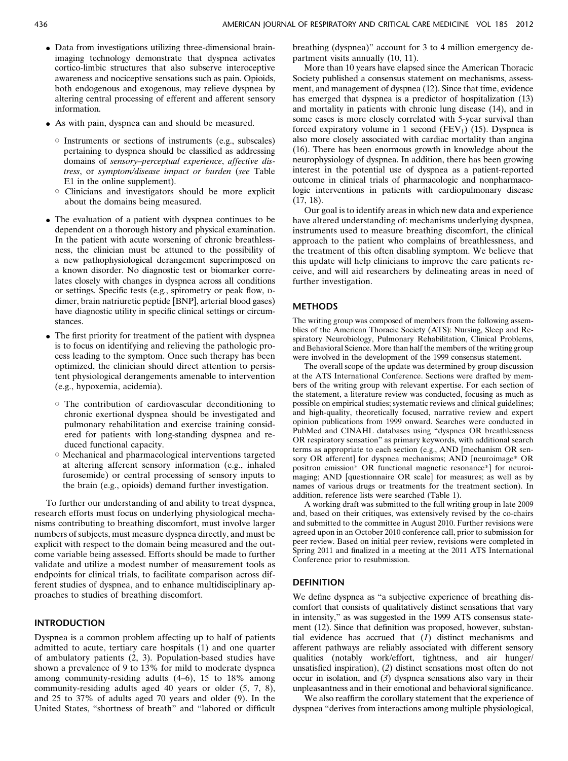- Data from investigations utilizing three-dimensional brainimaging technology demonstrate that dyspnea activates cortico-limbic structures that also subserve interoceptive awareness and nociceptive sensations such as pain. Opioids, both endogenous and exogenous, may relieve dyspnea by altering central processing of efferent and afferent sensory information.
- As with pain, dyspnea can and should be measured.
	- $\circ$  Instruments or sections of instruments (e.g., subscales) pertaining to dyspnea should be classified as addressing domains of sensory–perceptual experience, affective distress, or symptom/disease impact or burden (see Table E1 in the online supplement).
	- $\circ$  Clinicians and investigators should be more explicit about the domains being measured.
- The evaluation of a patient with dyspnea continues to be dependent on a thorough history and physical examination. In the patient with acute worsening of chronic breathlessness, the clinician must be attuned to the possibility of a new pathophysiological derangement superimposed on a known disorder. No diagnostic test or biomarker correlates closely with changes in dyspnea across all conditions or settings. Specific tests (e.g., spirometry or peak flow, Ddimer, brain natriuretic peptide [BNP], arterial blood gases) have diagnostic utility in specific clinical settings or circumstances.
- The first priority for treatment of the patient with dyspnea is to focus on identifying and relieving the pathologic process leading to the symptom. Once such therapy has been optimized, the clinician should direct attention to persistent physiological derangements amenable to intervention (e.g., hypoxemia, acidemia).
	- $\circ$  The contribution of cardiovascular deconditioning to chronic exertional dyspnea should be investigated and pulmonary rehabilitation and exercise training considered for patients with long-standing dyspnea and reduced functional capacity.
	- $\circ$  Mechanical and pharmacological interventions targeted at altering afferent sensory information (e.g., inhaled furosemide) or central processing of sensory inputs to the brain (e.g., opioids) demand further investigation.

To further our understanding of and ability to treat dyspnea, research efforts must focus on underlying physiological mechanisms contributing to breathing discomfort, must involve larger numbers of subjects, must measure dyspnea directly, and must be explicit with respect to the domain being measured and the outcome variable being assessed. Efforts should be made to further validate and utilize a modest number of measurement tools as endpoints for clinical trials, to facilitate comparison across different studies of dyspnea, and to enhance multidisciplinary approaches to studies of breathing discomfort.

## INTRODUCTION

Dyspnea is a common problem affecting up to half of patients admitted to acute, tertiary care hospitals (1) and one quarter of ambulatory patients (2, 3). Population-based studies have shown a prevalence of 9 to 13% for mild to moderate dyspnea among community-residing adults (4–6), 15 to 18% among community-residing adults aged 40 years or older (5, 7, 8), and 25 to 37% of adults aged 70 years and older (9). In the United States, "shortness of breath" and "labored or difficult

breathing (dyspnea)" account for 3 to 4 million emergency department visits annually (10, 11).

More than 10 years have elapsed since the American Thoracic Society published a consensus statement on mechanisms, assessment, and management of dyspnea (12). Since that time, evidence has emerged that dyspnea is a predictor of hospitalization (13) and mortality in patients with chronic lung disease (14), and in some cases is more closely correlated with 5-year survival than forced expiratory volume in 1 second (FEV<sub>1</sub>) (15). Dyspnea is also more closely associated with cardiac mortality than angina (16). There has been enormous growth in knowledge about the neurophysiology of dyspnea. In addition, there has been growing interest in the potential use of dyspnea as a patient-reported outcome in clinical trials of pharmacologic and nonpharmacologic interventions in patients with cardiopulmonary disease (17, 18).

Our goal is to identify areas in which new data and experience have altered understanding of: mechanisms underlying dyspnea, instruments used to measure breathing discomfort, the clinical approach to the patient who complains of breathlessness, and the treatment of this often disabling symptom. We believe that this update will help clinicians to improve the care patients receive, and will aid researchers by delineating areas in need of further investigation.

## **METHODS**

The writing group was composed of members from the following assemblies of the American Thoracic Society (ATS): Nursing, Sleep and Respiratory Neurobiology, Pulmonary Rehabilitation, Clinical Problems, and Behavioral Science. More than half the members of the writing group were involved in the development of the 1999 consensus statement.

The overall scope of the update was determined by group discussion at the ATS International Conference. Sections were drafted by members of the writing group with relevant expertise. For each section of the statement, a literature review was conducted, focusing as much as possible on empirical studies; systematic reviews and clinical guidelines; and high-quality, theoretically focused, narrative review and expert opinion publications from 1999 onward. Searches were conducted in PubMed and CINAHL databases using "dyspnea OR breathlessness OR respiratory sensation" as primary keywords, with additional search terms as appropriate to each section (e.g., AND [mechanism OR sensory OR afferent] for dyspnea mechanisms; AND [neuroimage\* OR positron emission\* OR functional magnetic resonance\*] for neuroimaging; AND [questionnaire OR scale] for measures; as well as by names of various drugs or treatments for the treatment section). In addition, reference lists were searched (Table 1).

A working draft was submitted to the full writing group in late 2009 and, based on their critiques, was extensively revised by the co-chairs and submitted to the committee in August 2010. Further revisions were agreed upon in an October 2010 conference call, prior to submission for peer review. Based on initial peer review, revisions were completed in Spring 2011 and finalized in a meeting at the 2011 ATS International Conference prior to resubmission.

#### DEFINITION

We define dyspnea as "a subjective experience of breathing discomfort that consists of qualitatively distinct sensations that vary in intensity," as was suggested in the 1999 ATS consensus statement (12). Since that definition was proposed, however, substantial evidence has accrued that  $(1)$  distinct mechanisms and afferent pathways are reliably associated with different sensory qualities (notably work/effort, tightness, and air hunger/ unsatisfied inspiration), (2) distinct sensations most often do not occur in isolation, and (3) dyspnea sensations also vary in their unpleasantness and in their emotional and behavioral significance.

We also reaffirm the corollary statement that the experience of dyspnea "derives from interactions among multiple physiological,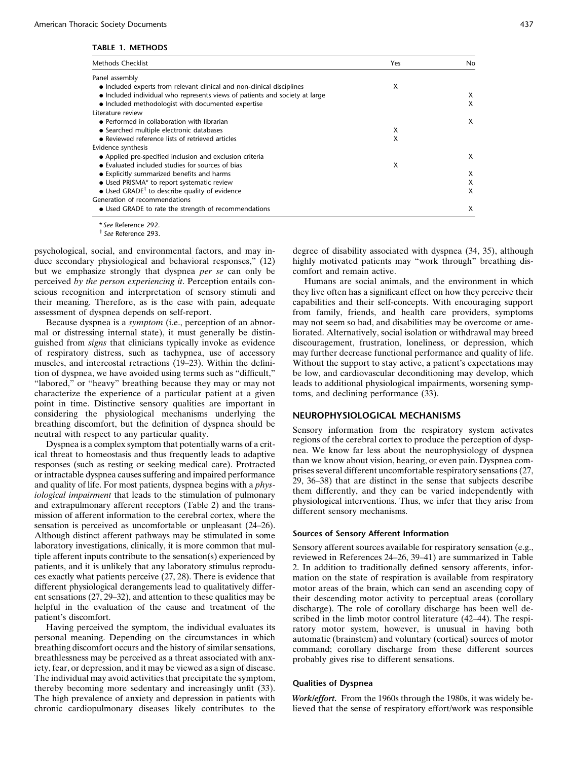#### TABLE 1. METHODS

| Methods Checklist                                                           | Yes | No |
|-----------------------------------------------------------------------------|-----|----|
| Panel assembly                                                              |     |    |
| • Included experts from relevant clinical and non-clinical disciplines      | х   |    |
| • Included individual who represents views of patients and society at large |     | Χ  |
| • Included methodologist with documented expertise                          |     | X  |
| Literature review                                                           |     |    |
| • Performed in collaboration with librarian                                 |     | X  |
| • Searched multiple electronic databases                                    | X   |    |
| • Reviewed reference lists of retrieved articles                            | X   |    |
| Evidence synthesis                                                          |     |    |
| • Applied pre-specified inclusion and exclusion criteria                    |     | X  |
| • Evaluated included studies for sources of bias                            | х   |    |
| • Explicitly summarized benefits and harms                                  |     | X  |
| • Used PRISMA* to report systematic review                                  |     | х  |
| $\bullet$ Used GRADE <sup>†</sup> to describe quality of evidence           |     | х  |
| Generation of recommendations                                               |     |    |
| • Used GRADE to rate the strength of recommendations                        |     | Х  |

\* See Reference 292.

<sup>†</sup> See Reference 293.

psychological, social, and environmental factors, and may induce secondary physiological and behavioral responses," (12) but we emphasize strongly that dyspnea per se can only be perceived by the person experiencing it. Perception entails conscious recognition and interpretation of sensory stimuli and their meaning. Therefore, as is the case with pain, adequate assessment of dyspnea depends on self-report.

Because dyspnea is a symptom (i.e., perception of an abnormal or distressing internal state), it must generally be distinguished from signs that clinicians typically invoke as evidence of respiratory distress, such as tachypnea, use of accessory muscles, and intercostal retractions (19–23). Within the definition of dyspnea, we have avoided using terms such as "difficult," "labored," or "heavy" breathing because they may or may not characterize the experience of a particular patient at a given point in time. Distinctive sensory qualities are important in considering the physiological mechanisms underlying the breathing discomfort, but the definition of dyspnea should be neutral with respect to any particular quality.

Dyspnea is a complex symptom that potentially warns of a critical threat to homeostasis and thus frequently leads to adaptive responses (such as resting or seeking medical care). Protracted or intractable dyspnea causes suffering and impaired performance and quality of life. For most patients, dyspnea begins with a physiological impairment that leads to the stimulation of pulmonary and extrapulmonary afferent receptors (Table 2) and the transmission of afferent information to the cerebral cortex, where the sensation is perceived as uncomfortable or unpleasant (24–26). Although distinct afferent pathways may be stimulated in some laboratory investigations, clinically, it is more common that multiple afferent inputs contribute to the sensation(s) experienced by patients, and it is unlikely that any laboratory stimulus reproduces exactly what patients perceive (27, 28). There is evidence that different physiological derangements lead to qualitatively different sensations (27, 29–32), and attention to these qualities may be helpful in the evaluation of the cause and treatment of the patient's discomfort.

Having perceived the symptom, the individual evaluates its personal meaning. Depending on the circumstances in which breathing discomfort occurs and the history of similar sensations, breathlessness may be perceived as a threat associated with anxiety, fear, or depression, and it may be viewed as a sign of disease. The individual may avoid activities that precipitate the symptom, thereby becoming more sedentary and increasingly unfit (33). The high prevalence of anxiety and depression in patients with chronic cardiopulmonary diseases likely contributes to the

degree of disability associated with dyspnea (34, 35), although highly motivated patients may "work through" breathing discomfort and remain active.

Humans are social animals, and the environment in which they live often has a significant effect on how they perceive their capabilities and their self-concepts. With encouraging support from family, friends, and health care providers, symptoms may not seem so bad, and disabilities may be overcome or ameliorated. Alternatively, social isolation or withdrawal may breed discouragement, frustration, loneliness, or depression, which may further decrease functional performance and quality of life. Without the support to stay active, a patient's expectations may be low, and cardiovascular deconditioning may develop, which leads to additional physiological impairments, worsening symptoms, and declining performance (33).

## NEUROPHYSIOLOGICAL MECHANISMS

Sensory information from the respiratory system activates regions of the cerebral cortex to produce the perception of dyspnea. We know far less about the neurophysiology of dyspnea than we know about vision, hearing, or even pain. Dyspnea comprises several different uncomfortable respiratory sensations (27, 29, 36–38) that are distinct in the sense that subjects describe them differently, and they can be varied independently with physiological interventions. Thus, we infer that they arise from different sensory mechanisms.

#### Sources of Sensory Afferent Information

Sensory afferent sources available for respiratory sensation (e.g., reviewed in References 24–26, 39–41) are summarized in Table 2. In addition to traditionally defined sensory afferents, information on the state of respiration is available from respiratory motor areas of the brain, which can send an ascending copy of their descending motor activity to perceptual areas (corollary discharge). The role of corollary discharge has been well described in the limb motor control literature (42–44). The respiratory motor system, however, is unusual in having both automatic (brainstem) and voluntary (cortical) sources of motor command; corollary discharge from these different sources probably gives rise to different sensations.

## Qualities of Dyspnea

Work/effort. From the 1960s through the 1980s, it was widely believed that the sense of respiratory effort/work was responsible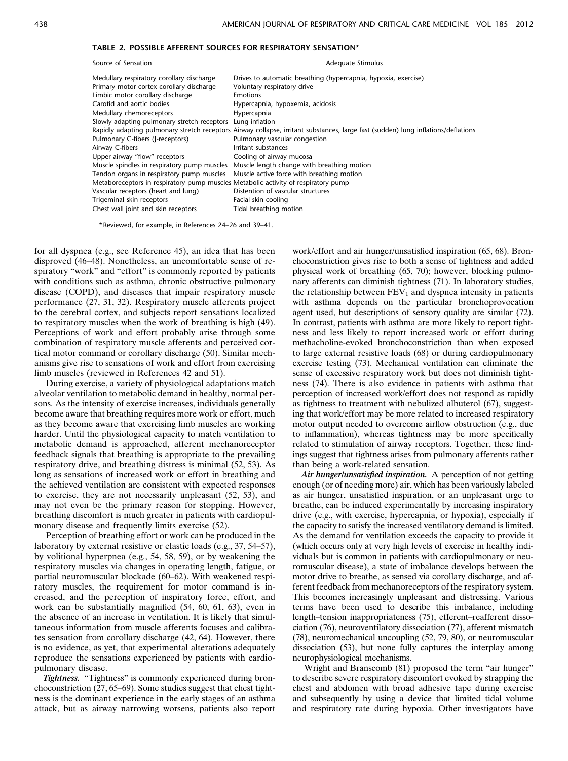|  |  | TABLE 2. POSSIBLE AFFERENT SOURCES FOR RESPIRATORY SENSATION* |  |
|--|--|---------------------------------------------------------------|--|
|  |  |                                                               |  |

| Source of Sensation                                                                | Adequate Stimulus                                                                                                                 |
|------------------------------------------------------------------------------------|-----------------------------------------------------------------------------------------------------------------------------------|
| Medullary respiratory corollary discharge                                          | Drives to automatic breathing (hypercapnia, hypoxia, exercise)                                                                    |
| Primary motor cortex corollary discharge                                           | Voluntary respiratory drive                                                                                                       |
| Limbic motor corollary discharge                                                   | Emotions                                                                                                                          |
| Carotid and aortic bodies                                                          | Hypercapnia, hypoxemia, acidosis                                                                                                  |
| Medullary chemoreceptors                                                           | Hypercapnia                                                                                                                       |
| Slowly adapting pulmonary stretch receptors Lung inflation                         |                                                                                                                                   |
|                                                                                    | Rapidly adapting pulmonary stretch receptors Airway collapse, irritant substances, large fast (sudden) lung inflations/deflations |
| Pulmonary C-fibers (J-receptors)                                                   | Pulmonary vascular congestion                                                                                                     |
| Airway C-fibers                                                                    | Irritant substances                                                                                                               |
| Upper airway "flow" receptors                                                      | Cooling of airway mucosa                                                                                                          |
|                                                                                    | Muscle spindles in respiratory pump muscles Muscle length change with breathing motion                                            |
| Tendon organs in respiratory pump muscles                                          | Muscle active force with breathing motion                                                                                         |
| Metaboreceptors in respiratory pump muscles Metabolic activity of respiratory pump |                                                                                                                                   |
| Vascular receptors (heart and lung)                                                | Distention of vascular structures                                                                                                 |
| Trigeminal skin receptors                                                          | Facial skin cooling                                                                                                               |
| Chest wall joint and skin receptors                                                | Tidal breathing motion                                                                                                            |

\* Reviewed, for example, in References 24–26 and 39–41.

for all dyspnea (e.g., see Reference 45), an idea that has been disproved (46–48). Nonetheless, an uncomfortable sense of respiratory "work" and "effort" is commonly reported by patients with conditions such as asthma, chronic obstructive pulmonary disease (COPD), and diseases that impair respiratory muscle performance (27, 31, 32). Respiratory muscle afferents project to the cerebral cortex, and subjects report sensations localized to respiratory muscles when the work of breathing is high (49). Perceptions of work and effort probably arise through some combination of respiratory muscle afferents and perceived cortical motor command or corollary discharge (50). Similar mechanisms give rise to sensations of work and effort from exercising limb muscles (reviewed in References 42 and 51).

During exercise, a variety of physiological adaptations match alveolar ventilation to metabolic demand in healthy, normal persons. As the intensity of exercise increases, individuals generally become aware that breathing requires more work or effort, much as they become aware that exercising limb muscles are working harder. Until the physiological capacity to match ventilation to metabolic demand is approached, afferent mechanoreceptor feedback signals that breathing is appropriate to the prevailing respiratory drive, and breathing distress is minimal (52, 53). As long as sensations of increased work or effort in breathing and the achieved ventilation are consistent with expected responses to exercise, they are not necessarily unpleasant (52, 53), and may not even be the primary reason for stopping. However, breathing discomfort is much greater in patients with cardiopulmonary disease and frequently limits exercise (52).

Perception of breathing effort or work can be produced in the laboratory by external resistive or elastic loads (e.g., 37, 54–57), by volitional hyperpnea (e.g., 54, 58, 59), or by weakening the respiratory muscles via changes in operating length, fatigue, or partial neuromuscular blockade (60–62). With weakened respiratory muscles, the requirement for motor command is increased, and the perception of inspiratory force, effort, and work can be substantially magnified (54, 60, 61, 63), even in the absence of an increase in ventilation. It is likely that simultaneous information from muscle afferents focuses and calibrates sensation from corollary discharge (42, 64). However, there is no evidence, as yet, that experimental alterations adequately reproduce the sensations experienced by patients with cardiopulmonary disease.

Tightness. "Tightness" is commonly experienced during bronchoconstriction (27, 65–69). Some studies suggest that chest tightness is the dominant experience in the early stages of an asthma attack, but as airway narrowing worsens, patients also report

work/effort and air hunger/unsatisfied inspiration (65, 68). Bronchoconstriction gives rise to both a sense of tightness and added physical work of breathing (65, 70); however, blocking pulmonary afferents can diminish tightness (71). In laboratory studies, the relationship between  $FEV<sub>1</sub>$  and dyspnea intensity in patients with asthma depends on the particular bronchoprovocation agent used, but descriptions of sensory quality are similar (72). In contrast, patients with asthma are more likely to report tightness and less likely to report increased work or effort during methacholine-evoked bronchoconstriction than when exposed to large external resistive loads (68) or during cardiopulmonary exercise testing (73). Mechanical ventilation can eliminate the sense of excessive respiratory work but does not diminish tightness (74). There is also evidence in patients with asthma that perception of increased work/effort does not respond as rapidly as tightness to treatment with nebulized albuterol (67), suggesting that work/effort may be more related to increased respiratory motor output needed to overcome airflow obstruction (e.g., due to inflammation), whereas tightness may be more specifically related to stimulation of airway receptors. Together, these findings suggest that tightness arises from pulmonary afferents rather than being a work-related sensation.

Air hunger/unsatisfied inspiration. A perception of not getting enough (or of needing more) air, which has been variously labeled as air hunger, unsatisfied inspiration, or an unpleasant urge to breathe, can be induced experimentally by increasing inspiratory drive (e.g., with exercise, hypercapnia, or hypoxia), especially if the capacity to satisfy the increased ventilatory demand is limited. As the demand for ventilation exceeds the capacity to provide it (which occurs only at very high levels of exercise in healthy individuals but is common in patients with cardiopulmonary or neuromuscular disease), a state of imbalance develops between the motor drive to breathe, as sensed via corollary discharge, and afferent feedback from mechanoreceptors of the respiratory system. This becomes increasingly unpleasant and distressing. Various terms have been used to describe this imbalance, including length–tension inappropriateness (75), efferent–reafferent dissociation (76), neuroventilatory dissociation (77), afferent mismatch (78), neuromechanical uncoupling (52, 79, 80), or neuromuscular dissociation (53), but none fully captures the interplay among neurophysiological mechanisms.

Wright and Branscomb (81) proposed the term "air hunger" to describe severe respiratory discomfort evoked by strapping the chest and abdomen with broad adhesive tape during exercise and subsequently by using a device that limited tidal volume and respiratory rate during hypoxia. Other investigators have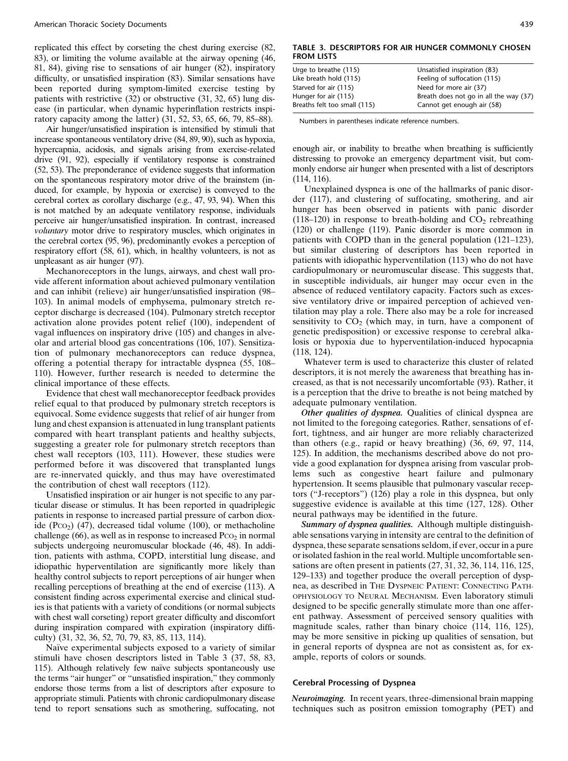replicated this effect by corseting the chest during exercise (82, 83), or limiting the volume available at the airway opening (46, 81, 84), giving rise to sensations of air hunger (82), inspiratory difficulty, or unsatisfied inspiration (83). Similar sensations have been reported during symptom-limited exercise testing by patients with restrictive (32) or obstructive (31, 32, 65) lung disease (in particular, when dynamic hyperinflation restricts inspiratory capacity among the latter) (31, 52, 53, 65, 66, 79, 85–88).

Air hunger/unsatisfied inspiration is intensified by stimuli that increase spontaneous ventilatory drive (84, 89, 90), such as hypoxia, hypercapnia, acidosis, and signals arising from exercise-related drive (91, 92), especially if ventilatory response is constrained (52, 53). The preponderance of evidence suggests that information on the spontaneous respiratory motor drive of the brainstem (induced, for example, by hypoxia or exercise) is conveyed to the cerebral cortex as corollary discharge (e.g., 47, 93, 94). When this is not matched by an adequate ventilatory response, individuals perceive air hunger/unsatisfied inspiration. In contrast, increased voluntary motor drive to respiratory muscles, which originates in the cerebral cortex (95, 96), predominantly evokes a perception of respiratory effort (58, 61), which, in healthy volunteers, is not as unpleasant as air hunger (97).

Mechanoreceptors in the lungs, airways, and chest wall provide afferent information about achieved pulmonary ventilation and can inhibit (relieve) air hunger/unsatisfied inspiration (98– 103). In animal models of emphysema, pulmonary stretch receptor discharge is decreased (104). Pulmonary stretch receptor activation alone provides potent relief (100), independent of vagal influences on inspiratory drive (105) and changes in alveolar and arterial blood gas concentrations (106, 107). Sensitization of pulmonary mechanoreceptors can reduce dyspnea, offering a potential therapy for intractable dyspnea (55, 108– 110). However, further research is needed to determine the clinical importance of these effects.

Evidence that chest wall mechanoreceptor feedback provides relief equal to that produced by pulmonary stretch receptors is equivocal. Some evidence suggests that relief of air hunger from lung and chest expansion is attenuated in lung transplant patients compared with heart transplant patients and healthy subjects, suggesting a greater role for pulmonary stretch receptors than chest wall receptors (103, 111). However, these studies were performed before it was discovered that transplanted lungs are re-innervated quickly, and thus may have overestimated the contribution of chest wall receptors (112).

Unsatisfied inspiration or air hunger is not specific to any particular disease or stimulus. It has been reported in quadriplegic patients in response to increased partial pressure of carbon dioxide  $(PCO<sub>2</sub>)$  (47), decreased tidal volume (100), or methacholine challenge  $(66)$ , as well as in response to increased  $PCO<sub>2</sub>$  in normal subjects undergoing neuromuscular blockade (46, 48). In addition, patients with asthma, COPD, interstitial lung disease, and idiopathic hyperventilation are significantly more likely than healthy control subjects to report perceptions of air hunger when recalling perceptions of breathing at the end of exercise (113). A consistent finding across experimental exercise and clinical studies is that patients with a variety of conditions (or normal subjects with chest wall corseting) report greater difficulty and discomfort during inspiration compared with expiration (inspiratory difficulty) (31, 32, 36, 52, 70, 79, 83, 85, 113, 114).

Naïve experimental subjects exposed to a variety of similar stimuli have chosen descriptors listed in Table 3 (37, 58, 83, 115). Although relatively few naïve subjects spontaneously use the terms "air hunger" or "unsatisfied inspiration," they commonly endorse those terms from a list of descriptors after exposure to appropriate stimuli. Patients with chronic cardiopulmonary disease tend to report sensations such as smothering, suffocating, not

TABLE 3. DESCRIPTORS FOR AIR HUNGER COMMONLY CHOSEN FROM LISTS

| Urge to breathe (115)        | Unsatisfied inspiration (83)           |
|------------------------------|----------------------------------------|
| Like breath hold (115)       | Feeling of suffocation (115)           |
| Starved for air (115)        | Need for more air (37)                 |
| Hunger for air (115)         | Breath does not go in all the way (37) |
| Breaths felt too small (115) | Cannot get enough air (58)             |
|                              |                                        |

Numbers in parentheses indicate reference numbers.

enough air, or inability to breathe when breathing is sufficiently distressing to provoke an emergency department visit, but commonly endorse air hunger when presented with a list of descriptors (114, 116).

Unexplained dyspnea is one of the hallmarks of panic disorder (117), and clustering of suffocating, smothering, and air hunger has been observed in patients with panic disorder  $(118–120)$  in response to breath-holding and  $CO<sub>2</sub>$  rebreathing (120) or challenge (119). Panic disorder is more common in patients with COPD than in the general population (121–123), but similar clustering of descriptors has been reported in patients with idiopathic hyperventilation (113) who do not have cardiopulmonary or neuromuscular disease. This suggests that, in susceptible individuals, air hunger may occur even in the absence of reduced ventilatory capacity. Factors such as excessive ventilatory drive or impaired perception of achieved ventilation may play a role. There also may be a role for increased sensitivity to  $CO<sub>2</sub>$  (which may, in turn, have a component of genetic predisposition) or excessive response to cerebral alkalosis or hypoxia due to hyperventilation-induced hypocapnia (118, 124).

Whatever term is used to characterize this cluster of related descriptors, it is not merely the awareness that breathing has increased, as that is not necessarily uncomfortable (93). Rather, it is a perception that the drive to breathe is not being matched by adequate pulmonary ventilation.

Other qualities of dyspnea. Qualities of clinical dyspnea are not limited to the foregoing categories. Rather, sensations of effort, tightness, and air hunger are more reliably characterized than others (e.g., rapid or heavy breathing) (36, 69, 97, 114, 125). In addition, the mechanisms described above do not provide a good explanation for dyspnea arising from vascular problems such as congestive heart failure and pulmonary hypertension. It seems plausible that pulmonary vascular receptors ("J-receptors") (126) play a role in this dyspnea, but only suggestive evidence is available at this time (127, 128). Other neural pathways may be identified in the future.

Summary of dyspnea qualities. Although multiple distinguishable sensations varying in intensity are central to the definition of dyspnea, these separate sensations seldom, if ever, occur in a pure or isolated fashion in the real world. Multiple uncomfortable sensations are often present in patients (27, 31, 32, 36, 114, 116, 125, 129–133) and together produce the overall perception of dyspnea, as described in THE DYSPNEIC PATIENT: CONNECTING PATH-OPHYSIOLOGY TO NEURAL MECHANISM. Even laboratory stimuli designed to be specific generally stimulate more than one afferent pathway. Assessment of perceived sensory qualities with magnitude scales, rather than binary choice (114, 116, 125), may be more sensitive in picking up qualities of sensation, but in general reports of dyspnea are not as consistent as, for example, reports of colors or sounds.

#### Cerebral Processing of Dyspnea

Neuroimaging. In recent years, three-dimensional brain mapping techniques such as positron emission tomography (PET) and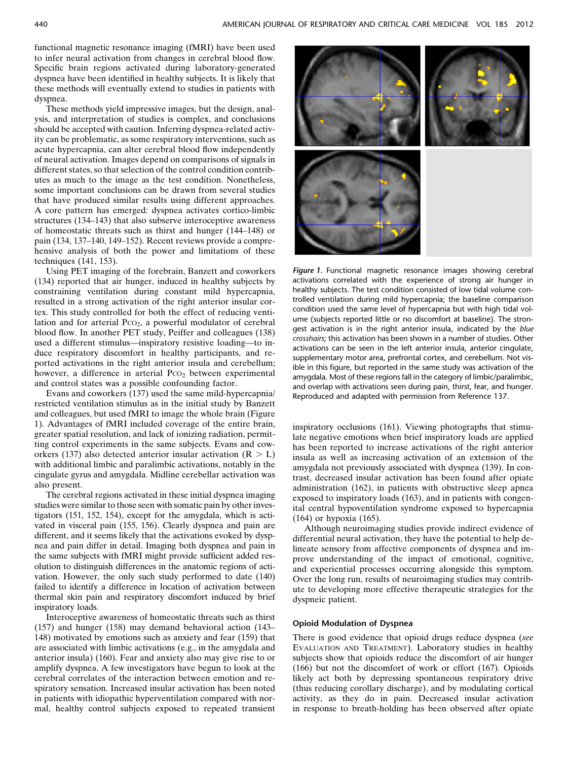functional magnetic resonance imaging (fMRI) have been used to infer neural activation from changes in cerebral blood flow. Specific brain regions activated during laboratory-generated dyspnea have been identified in healthy subjects. It is likely that these methods will eventually extend to studies in patients with dyspnea.

These methods yield impressive images, but the design, analysis, and interpretation of studies is complex, and conclusions should be accepted with caution. Inferring dyspnea-related activity can be problematic, as some respiratory interventions, such as acute hypercapnia, can alter cerebral blood flow independently of neural activation. Images depend on comparisons of signals in different states, so that selection of the control condition contributes as much to the image as the test condition. Nonetheless, some important conclusions can be drawn from several studies that have produced similar results using different approaches. A core pattern has emerged: dyspnea activates cortico-limbic structures (134–143) that also subserve interoceptive awareness of homeostatic threats such as thirst and hunger (144–148) or pain (134, 137–140, 149–152). Recent reviews provide a comprehensive analysis of both the power and limitations of these techniques (141, 153).

Using PET imaging of the forebrain, Banzett and coworkers (134) reported that air hunger, induced in healthy subjects by constraining ventilation during constant mild hypercapnia, resulted in a strong activation of the right anterior insular cortex. This study controlled for both the effect of reducing ventilation and for arterial  $PCO<sub>2</sub>$ , a powerful modulator of cerebral blood flow. In another PET study, Peiffer and colleagues (138) used a different stimulus—inspiratory resistive loading—to induce respiratory discomfort in healthy participants, and reported activations in the right anterior insula and cerebellum; however, a difference in arterial  $PCO<sub>2</sub>$  between experimental and control states was a possible confounding factor.

Evans and coworkers (137) used the same mild-hypercapnia/ restricted ventilation stimulus as in the initial study by Banzett and colleagues, but used fMRI to image the whole brain (Figure 1). Advantages of fMRI included coverage of the entire brain, greater spatial resolution, and lack of ionizing radiation, permitting control experiments in the same subjects. Evans and coworkers (137) also detected anterior insular activation  $(R > L)$ with additional limbic and paralimbic activations, notably in the cingulate gyrus and amygdala. Midline cerebellar activation was also present.

The cerebral regions activated in these initial dyspnea imaging studies were similar to those seen with somatic pain by other investigators (151, 152, 154), except for the amygdala, which is activated in visceral pain (155, 156). Clearly dyspnea and pain are different, and it seems likely that the activations evoked by dyspnea and pain differ in detail. Imaging both dyspnea and pain in the same subjects with fMRI might provide sufficient added resolution to distinguish differences in the anatomic regions of activation. However, the only such study performed to date (140) failed to identify a difference in location of activation between thermal skin pain and respiratory discomfort induced by brief inspiratory loads.

Interoceptive awareness of homeostatic threats such as thirst (157) and hunger (158) may demand behavioral action (143– 148) motivated by emotions such as anxiety and fear (159) that are associated with limbic activations (e.g., in the amygdala and anterior insula) (160). Fear and anxiety also may give rise to or amplify dyspnea. A few investigators have begun to look at the cerebral correlates of the interaction between emotion and respiratory sensation. Increased insular activation has been noted in patients with idiopathic hyperventilation compared with normal, healthy control subjects exposed to repeated transient



Figure 1. Functional magnetic resonance images showing cerebral activations correlated with the experience of strong air hunger in healthy subjects. The test condition consisted of low tidal volume controlled ventilation during mild hypercapnia; the baseline comparison condition used the same level of hypercapnia but with high tidal volume (subjects reported little or no discomfort at baseline). The strongest activation is in the right anterior insula, indicated by the blue crosshairs; this activation has been shown in a number of studies. Other activations can be seen in the left anterior insula, anterior cingulate, supplementary motor area, prefrontal cortex, and cerebellum. Not visible in this figure, but reported in the same study was activation of the amygdala. Most of these regions fall in the category of limbic/paralimbic, and overlap with activations seen during pain, thirst, fear, and hunger. Reproduced and adapted with permission from Reference 137.

inspiratory occlusions (161). Viewing photographs that stimulate negative emotions when brief inspiratory loads are applied has been reported to increase activations of the right anterior insula as well as increasing activation of an extension of the amygdala not previously associated with dyspnea (139). In contrast, decreased insular activation has been found after opiate administration (162), in patients with obstructive sleep apnea exposed to inspiratory loads (163), and in patients with congenital central hypoventilation syndrome exposed to hypercapnia (164) or hypoxia (165).

Although neuroimaging studies provide indirect evidence of differential neural activation, they have the potential to help delineate sensory from affective components of dyspnea and improve understanding of the impact of emotional, cognitive, and experiential processes occurring alongside this symptom. Over the long run, results of neuroimaging studies may contribute to developing more effective therapeutic strategies for the dyspneic patient.

#### Opioid Modulation of Dyspnea

There is good evidence that opioid drugs reduce dyspnea (see EVALUATION AND TREATMENT). Laboratory studies in healthy subjects show that opioids reduce the discomfort of air hunger (166) but not the discomfort of work or effort (167). Opioids likely act both by depressing spontaneous respiratory drive (thus reducing corollary discharge), and by modulating cortical activity, as they do in pain. Decreased insular activation in response to breath-holding has been observed after opiate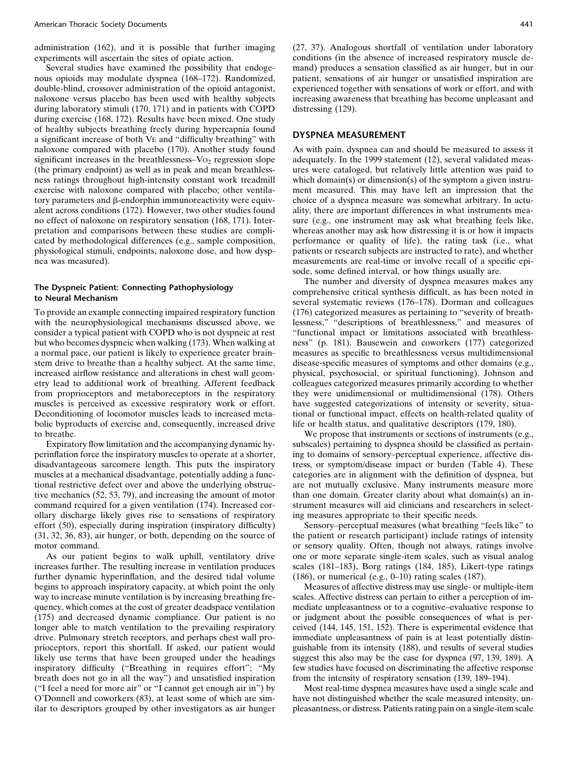administration (162), and it is possible that further imaging experiments will ascertain the sites of opiate action.

Several studies have examined the possibility that endogenous opioids may modulate dyspnea (168–172). Randomized, double-blind, crossover administration of the opioid antagonist, naloxone versus placebo has been used with healthy subjects during laboratory stimuli (170, 171) and in patients with COPD during exercise (168, 172). Results have been mixed. One study of healthy subjects breathing freely during hypercapnia found a significant increase of both VE and "difficulty breathing" with naloxone compared with placebo (170). Another study found  $\frac{1}{2}$  increases in the breathlessness–V $\sigma_2$  regression slope (the primary endpoint) as well as in peak and mean breathlessness ratings throughout high-intensity constant work treadmill exercise with naloxone compared with placebo; other ventilatory parameters and  $\beta$ -endorphin immunoreactivity were equivalent across conditions (172). However, two other studies found no effect of naloxone on respiratory sensation (168, 171). Interpretation and comparisons between these studies are complicated by methodological differences (e.g., sample composition, physiological stimuli, endpoints, naloxone dose, and how dyspnea was measured).

## The Dyspneic Patient: Connecting Pathophysiology to Neural Mechanism

To provide an example connecting impaired respiratory function with the neurophysiological mechanisms discussed above, we consider a typical patient with COPD who is not dyspneic at rest but who becomes dyspneic when walking (173). When walking at a normal pace, our patient is likely to experience greater brainstem drive to breathe than a healthy subject. At the same time, increased airflow resistance and alterations in chest wall geometry lead to additional work of breathing. Afferent feedback from proprioceptors and metaboreceptors in the respiratory muscles is perceived as excessive respiratory work or effort. Deconditioning of locomotor muscles leads to increased metabolic byproducts of exercise and, consequently, increased drive to breathe.

Expiratory flow limitation and the accompanying dynamic hyperinflation force the inspiratory muscles to operate at a shorter, disadvantageous sarcomere length. This puts the inspiratory muscles at a mechanical disadvantage, potentially adding a functional restrictive defect over and above the underlying obstructive mechanics (52, 53, 79), and increasing the amount of motor command required for a given ventilation (174). Increased corollary discharge likely gives rise to sensations of respiratory effort (50), especially during inspiration (inspiratory difficulty) (31, 32, 36, 83), air hunger, or both, depending on the source of motor command.

As our patient begins to walk uphill, ventilatory drive increases further. The resulting increase in ventilation produces further dynamic hyperinflation, and the desired tidal volume begins to approach inspiratory capacity, at which point the only way to increase minute ventilation is by increasing breathing frequency, which comes at the cost of greater deadspace ventilation (175) and decreased dynamic compliance. Our patient is no longer able to match ventilation to the prevailing respiratory drive. Pulmonary stretch receptors, and perhaps chest wall proprioceptors, report this shortfall. If asked, our patient would likely use terms that have been grouped under the headings inspiratory difficulty ("Breathing in requires effort"; "My breath does not go in all the way") and unsatisfied inspiration ("I feel a need for more air" or "I cannot get enough air in") by O'Donnell and coworkers (83), at least some of which are similar to descriptors grouped by other investigators as air hunger

(27, 37). Analogous shortfall of ventilation under laboratory conditions (in the absence of increased respiratory muscle demand) produces a sensation classified as air hunger, but in our patient, sensations of air hunger or unsatisfied inspiration are experienced together with sensations of work or effort, and with increasing awareness that breathing has become unpleasant and distressing (129).

## DYSPNEA MEASUREMENT

As with pain, dyspnea can and should be measured to assess it adequately. In the 1999 statement (12), several validated measures were cataloged, but relatively little attention was paid to which domain(s) or dimension(s) of the symptom a given instrument measured. This may have left an impression that the choice of a dyspnea measure was somewhat arbitrary. In actuality, there are important differences in what instruments measure (e.g., one instrument may ask what breathing feels like, whereas another may ask how distressing it is or how it impacts performance or quality of life), the rating task (i.e., what patients or research subjects are instructed to rate), and whether measurements are real-time or involve recall of a specific episode, some defined interval, or how things usually are.

The number and diversity of dyspnea measures makes any comprehensive critical synthesis difficult, as has been noted in several systematic reviews (176–178). Dorman and colleagues (176) categorized measures as pertaining to "severity of breathlessness," "descriptions of breathlessness," and measures of "functional impact or limitations associated with breathlessness" (p. 181). Bausewein and coworkers (177) categorized measures as specific to breathlessness versus multidimensional disease-specific measures of symptoms and other domains (e.g., physical, psychosocial, or spiritual functioning). Johnson and colleagues categorized measures primarily according to whether they were unidimensional or multidimensional (178). Others have suggested categorizations of intensity or severity, situational or functional impact, effects on health-related quality of life or health status, and qualitative descriptors (179, 180).

We propose that instruments or sections of instruments (e.g., subscales) pertaining to dyspnea should be classified as pertaining to domains of sensory–perceptual experience, affective distress, or symptom/disease impact or burden (Table 4). These categories are in alignment with the definition of dyspnea, but are not mutually exclusive. Many instruments measure more than one domain. Greater clarity about what domain(s) an instrument measures will aid clinicians and researchers in selecting measures appropriate to their specific needs.

Sensory–perceptual measures (what breathing "feels like" to the patient or research participant) include ratings of intensity or sensory quality. Often, though not always, ratings involve one or more separate single-item scales, such as visual analog scales (181–183), Borg ratings (184, 185), Likert-type ratings (186), or numerical (e.g., 0–10) rating scales (187).

Measures of affective distress may use single- or multiple-item scales. Affective distress can pertain to either a perception of immediate unpleasantness or to a cognitive–evaluative response to or judgment about the possible consequences of what is perceived (144, 145, 151, 152). There is experimental evidence that immediate unpleasantness of pain is at least potentially distinguishable from its intensity (188), and results of several studies suggest this also may be the case for dyspnea (97, 139, 189). A few studies have focused on discriminating the affective response from the intensity of respiratory sensation (139, 189–194).

Most real-time dyspnea measures have used a single scale and have not distinguished whether the scale measured intensity, unpleasantness, or distress. Patients rating pain on a single-item scale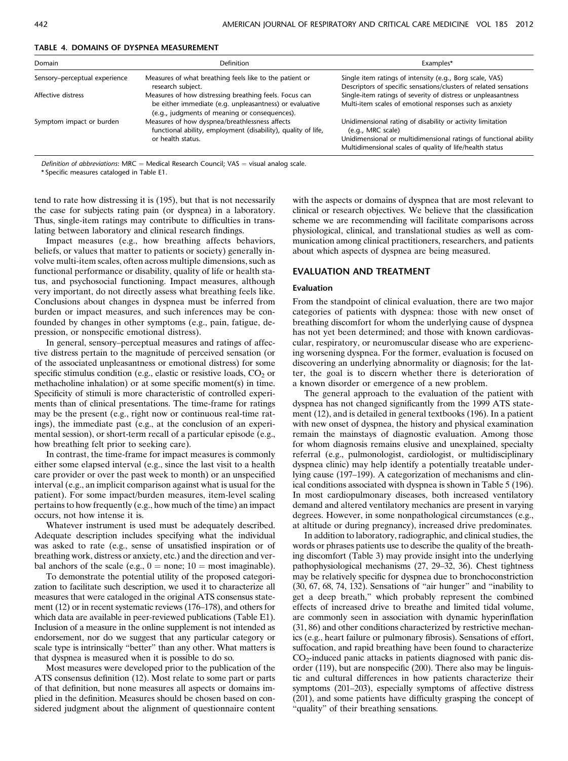| Domain                        | Definition                                                                                                                                                         | Examples*                                                                                                                                                                                                       |
|-------------------------------|--------------------------------------------------------------------------------------------------------------------------------------------------------------------|-----------------------------------------------------------------------------------------------------------------------------------------------------------------------------------------------------------------|
| Sensory-perceptual experience | Measures of what breathing feels like to the patient or<br>research subject.                                                                                       | Single item ratings of intensity (e.g., Borg scale, VAS)<br>Descriptors of specific sensations/clusters of related sensations                                                                                   |
| Affective distress            | Measures of how distressing breathing feels. Focus can<br>be either immediate (e.g. unpleasantness) or evaluative<br>(e.g., judgments of meaning or consequences). | Single-item ratings of severity of distress or unpleasantness<br>Multi-item scales of emotional responses such as anxiety                                                                                       |
| Symptom impact or burden      | Measures of how dyspnea/breathlessness affects<br>functional ability, employment (disability), quality of life,<br>or health status.                               | Unidimensional rating of disability or activity limitation<br>(e.g., MRC scale)<br>Unidimensional or multidimensional ratings of functional ability<br>Multidimensional scales of quality of life/health status |

TABLE 4. DOMAINS OF DYSPNEA MEASUREMENT

Definition of abbreviations: MRC = Medical Research Council; VAS = visual analog scale.

\* Specific measures cataloged in Table E1.

tend to rate how distressing it is (195), but that is not necessarily the case for subjects rating pain (or dyspnea) in a laboratory. Thus, single-item ratings may contribute to difficulties in translating between laboratory and clinical research findings.

Impact measures (e.g., how breathing affects behaviors, beliefs, or values that matter to patients or society) generally involve multi-item scales, often across multiple dimensions, such as functional performance or disability, quality of life or health status, and psychosocial functioning. Impact measures, although very important, do not directly assess what breathing feels like. Conclusions about changes in dyspnea must be inferred from burden or impact measures, and such inferences may be confounded by changes in other symptoms (e.g., pain, fatigue, depression, or nonspecific emotional distress).

In general, sensory–perceptual measures and ratings of affective distress pertain to the magnitude of perceived sensation (or of the associated unpleasantness or emotional distress) for some specific stimulus condition (e.g., elastic or resistive loads,  $CO<sub>2</sub>$  or methacholine inhalation) or at some specific moment(s) in time. Specificity of stimuli is more characteristic of controlled experiments than of clinical presentations. The time-frame for ratings may be the present (e.g., right now or continuous real-time ratings), the immediate past (e.g., at the conclusion of an experimental session), or short-term recall of a particular episode (e.g., how breathing felt prior to seeking care).

In contrast, the time-frame for impact measures is commonly either some elapsed interval (e.g., since the last visit to a health care provider or over the past week to month) or an unspecified interval (e.g., an implicit comparison against what is usual for the patient). For some impact/burden measures, item-level scaling pertains to how frequently (e.g., how much of the time) an impact occurs, not how intense it is.

Whatever instrument is used must be adequately described. Adequate description includes specifying what the individual was asked to rate (e.g., sense of unsatisfied inspiration or of breathing work, distress or anxiety, etc.) and the direction and verbal anchors of the scale (e.g.,  $0 =$  none;  $10 =$  most imaginable).

To demonstrate the potential utility of the proposed categorization to facilitate such description, we used it to characterize all measures that were cataloged in the original ATS consensus statement (12) or in recent systematic reviews (176–178), and others for which data are available in peer-reviewed publications (Table E1). Inclusion of a measure in the online supplement is not intended as endorsement, nor do we suggest that any particular category or scale type is intrinsically "better" than any other. What matters is that dyspnea is measured when it is possible to do so.

Most measures were developed prior to the publication of the ATS consensus definition (12). Most relate to some part or parts of that definition, but none measures all aspects or domains implied in the definition. Measures should be chosen based on considered judgment about the alignment of questionnaire content

with the aspects or domains of dyspnea that are most relevant to clinical or research objectives. We believe that the classification scheme we are recommending will facilitate comparisons across physiological, clinical, and translational studies as well as communication among clinical practitioners, researchers, and patients about which aspects of dyspnea are being measured.

#### EVALUATION AND TREATMENT

#### Evaluation

From the standpoint of clinical evaluation, there are two major categories of patients with dyspnea: those with new onset of breathing discomfort for whom the underlying cause of dyspnea has not yet been determined; and those with known cardiovascular, respiratory, or neuromuscular disease who are experiencing worsening dyspnea. For the former, evaluation is focused on discovering an underlying abnormality or diagnosis; for the latter, the goal is to discern whether there is deterioration of a known disorder or emergence of a new problem.

The general approach to the evaluation of the patient with dyspnea has not changed significantly from the 1999 ATS statement (12), and is detailed in general textbooks (196). In a patient with new onset of dyspnea, the history and physical examination remain the mainstays of diagnostic evaluation. Among those for whom diagnosis remains elusive and unexplained, specialty referral (e.g., pulmonologist, cardiologist, or multidisciplinary dyspnea clinic) may help identify a potentially treatable underlying cause (197–199). A categorization of mechanisms and clinical conditions associated with dyspnea is shown in Table 5 (196). In most cardiopulmonary diseases, both increased ventilatory demand and altered ventilatory mechanics are present in varying degrees. However, in some nonpathological circumstances (e.g., at altitude or during pregnancy), increased drive predominates.

In addition to laboratory, radiographic, and clinical studies, the words or phrases patients use to describe the quality of the breathing discomfort (Table 3) may provide insight into the underlying pathophysiological mechanisms (27, 29–32, 36). Chest tightness may be relatively specific for dyspnea due to bronchoconstriction (30, 67, 68, 74, 132). Sensations of "air hunger" and "inability to get a deep breath," which probably represent the combined effects of increased drive to breathe and limited tidal volume, are commonly seen in association with dynamic hyperinflation (31, 86) and other conditions characterized by restrictive mechanics (e.g., heart failure or pulmonary fibrosis). Sensations of effort, suffocation, and rapid breathing have been found to characterize  $CO<sub>2</sub>$ -induced panic attacks in patients diagnosed with panic disorder (119), but are nonspecific (200). There also may be linguistic and cultural differences in how patients characterize their symptoms (201–203), especially symptoms of affective distress (201), and some patients have difficulty grasping the concept of "quality" of their breathing sensations.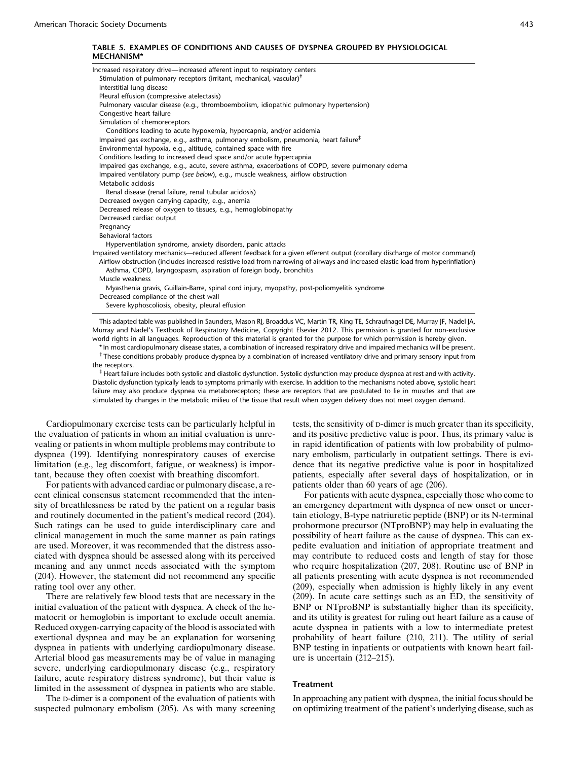#### TABLE 5. EXAMPLES OF CONDITIONS AND CAUSES OF DYSPNEA GROUPED BY PHYSIOLOGICAL MECHANISM\*

| Increased respiratory drive-increased afferent input to respiratory centers                                                      |
|----------------------------------------------------------------------------------------------------------------------------------|
| Stimulation of pulmonary receptors (irritant, mechanical, vascular) $†$                                                          |
| Interstitial lung disease                                                                                                        |
| Pleural effusion (compressive atelectasis)                                                                                       |
| Pulmonary vascular disease (e.g., thromboembolism, idiopathic pulmonary hypertension)                                            |
| Congestive heart failure                                                                                                         |
| Simulation of chemoreceptors                                                                                                     |
| Conditions leading to acute hypoxemia, hypercapnia, and/or acidemia                                                              |
| Impaired gas exchange, e.g., asthma, pulmonary embolism, pneumonia, heart failure <sup>‡</sup>                                   |
| Environmental hypoxia, e.g., altitude, contained space with fire                                                                 |
| Conditions leading to increased dead space and/or acute hypercapnia                                                              |
| Impaired gas exchange, e.g., acute, severe asthma, exacerbations of COPD, severe pulmonary edema                                 |
| Impaired ventilatory pump (see below), e.q., muscle weakness, airflow obstruction                                                |
| Metabolic acidosis                                                                                                               |
| Renal disease (renal failure, renal tubular acidosis)                                                                            |
| Decreased oxygen carrying capacity, e.g., anemia                                                                                 |
| Decreased release of oxygen to tissues, e.g., hemoglobinopathy                                                                   |
| Decreased cardiac output                                                                                                         |
| Pregnancy                                                                                                                        |
| <b>Behavioral factors</b>                                                                                                        |
| Hyperventilation syndrome, anxiety disorders, panic attacks                                                                      |
| Impaired ventilatory mechanics—reduced afferent feedback for a given efferent output (corollary discharge of motor command)      |
| Airflow obstruction (includes increased resistive load from narrowing of airways and increased elastic load from hyperinflation) |
| Asthma, COPD, laryngospasm, aspiration of foreign body, bronchitis                                                               |
| Muscle weakness                                                                                                                  |
| Myasthenia gravis, Guillain-Barre, spinal cord injury, myopathy, post-poliomyelitis syndrome                                     |
| Decreased compliance of the chest wall                                                                                           |
| Severe kyphoscoliosis, obesity, pleural effusion                                                                                 |
| This adapted table was published in Saunders, Mason RJ, Broaddus VC, Martin TR, King TE, Schraufnagel DE, Murray JF, Nadel JA,   |
| Murray and Nadel's Textbook of Respiratory Medicine, Copyright Elsevier 2012. This permission is granted for non-exclusive       |
|                                                                                                                                  |

world rights in all languages. Reproduction of this material is granted for the purpose for which permission is hereby given.

\* In most cardiopulmonary disease states, a combination of increased respiratory drive and impaired mechanics will be present.

 $<sup>†</sup>$  These conditions probably produce dyspnea by a combination of increased ventilatory drive and primary sensory input from</sup> the receptors.

 $*$  Heart failure includes both systolic and diastolic dysfunction. Systolic dysfunction may produce dyspnea at rest and with activity. Diastolic dysfunction typically leads to symptoms primarily with exercise. In addition to the mechanisms noted above, systolic heart failure may also produce dyspnea via metaboreceptors; these are receptors that are postulated to lie in muscles and that are stimulated by changes in the metabolic milieu of the tissue that result when oxygen delivery does not meet oxygen demand.

Cardiopulmonary exercise tests can be particularly helpful in the evaluation of patients in whom an initial evaluation is unrevealing or patients in whom multiple problems may contribute to dyspnea (199). Identifying nonrespiratory causes of exercise limitation (e.g., leg discomfort, fatigue, or weakness) is important, because they often coexist with breathing discomfort.

For patients with advanced cardiac or pulmonary disease, a recent clinical consensus statement recommended that the intensity of breathlessness be rated by the patient on a regular basis and routinely documented in the patient's medical record (204). Such ratings can be used to guide interdisciplinary care and clinical management in much the same manner as pain ratings are used. Moreover, it was recommended that the distress associated with dyspnea should be assessed along with its perceived meaning and any unmet needs associated with the symptom (204). However, the statement did not recommend any specific rating tool over any other.

There are relatively few blood tests that are necessary in the initial evaluation of the patient with dyspnea. A check of the hematocrit or hemoglobin is important to exclude occult anemia. Reduced oxygen-carrying capacity of the blood is associated with exertional dyspnea and may be an explanation for worsening dyspnea in patients with underlying cardiopulmonary disease. Arterial blood gas measurements may be of value in managing severe, underlying cardiopulmonary disease (e.g., respiratory failure, acute respiratory distress syndrome), but their value is limited in the assessment of dyspnea in patients who are stable.

The D-dimer is a component of the evaluation of patients with suspected pulmonary embolism (205). As with many screening

tests, the sensitivity of D-dimer is much greater than its specificity, and its positive predictive value is poor. Thus, its primary value is in rapid identification of patients with low probability of pulmonary embolism, particularly in outpatient settings. There is evidence that its negative predictive value is poor in hospitalized patients, especially after several days of hospitalization, or in patients older than 60 years of age (206).

For patients with acute dyspnea, especially those who come to an emergency department with dyspnea of new onset or uncertain etiology, B-type natriuretic peptide (BNP) or its N-terminal prohormone precursor (NTproBNP) may help in evaluating the possibility of heart failure as the cause of dyspnea. This can expedite evaluation and initiation of appropriate treatment and may contribute to reduced costs and length of stay for those who require hospitalization (207, 208). Routine use of BNP in all patients presenting with acute dyspnea is not recommended (209), especially when admission is highly likely in any event (209). In acute care settings such as an ED, the sensitivity of BNP or NTproBNP is substantially higher than its specificity, and its utility is greatest for ruling out heart failure as a cause of acute dyspnea in patients with a low to intermediate pretest probability of heart failure (210, 211). The utility of serial BNP testing in inpatients or outpatients with known heart failure is uncertain (212–215).

### **Treatment**

In approaching any patient with dyspnea, the initial focus should be on optimizing treatment of the patient's underlying disease, such as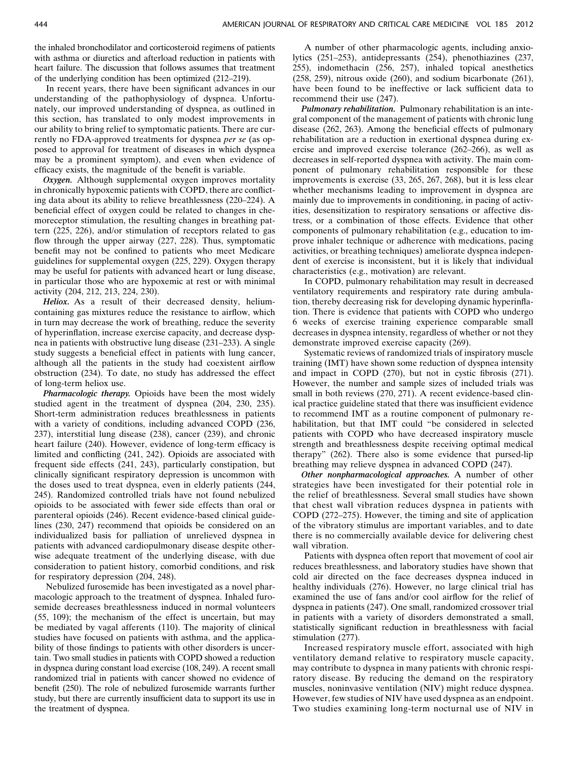the inhaled bronchodilator and corticosteroid regimens of patients with asthma or diuretics and afterload reduction in patients with heart failure. The discussion that follows assumes that treatment of the underlying condition has been optimized (212–219).

In recent years, there have been significant advances in our understanding of the pathophysiology of dyspnea. Unfortunately, our improved understanding of dyspnea, as outlined in this section, has translated to only modest improvements in our ability to bring relief to symptomatic patients. There are currently no FDA-approved treatments for dyspnea per se (as opposed to approval for treatment of diseases in which dyspnea may be a prominent symptom), and even when evidence of efficacy exists, the magnitude of the benefit is variable.

Oxygen. Although supplemental oxygen improves mortality in chronically hypoxemic patients with COPD, there are conflicting data about its ability to relieve breathlessness (220–224). A beneficial effect of oxygen could be related to changes in chemoreceptor stimulation, the resulting changes in breathing pattern (225, 226), and/or stimulation of receptors related to gas flow through the upper airway (227, 228). Thus, symptomatic benefit may not be confined to patients who meet Medicare guidelines for supplemental oxygen (225, 229). Oxygen therapy may be useful for patients with advanced heart or lung disease, in particular those who are hypoxemic at rest or with minimal activity (204, 212, 213, 224, 230).

Heliox. As a result of their decreased density, heliumcontaining gas mixtures reduce the resistance to airflow, which in turn may decrease the work of breathing, reduce the severity of hyperinflation, increase exercise capacity, and decrease dyspnea in patients with obstructive lung disease (231–233). A single study suggests a beneficial effect in patients with lung cancer, although all the patients in the study had coexistent airflow obstruction (234). To date, no study has addressed the effect of long-term heliox use.

Pharmacologic therapy. Opioids have been the most widely studied agent in the treatment of dyspnea (204, 230, 235). Short-term administration reduces breathlessness in patients with a variety of conditions, including advanced COPD (236, 237), interstitial lung disease (238), cancer (239), and chronic heart failure (240). However, evidence of long-term efficacy is limited and conflicting (241, 242). Opioids are associated with frequent side effects (241, 243), particularly constipation, but clinically significant respiratory depression is uncommon with the doses used to treat dyspnea, even in elderly patients (244, 245). Randomized controlled trials have not found nebulized opioids to be associated with fewer side effects than oral or parenteral opioids (246). Recent evidence-based clinical guidelines (230, 247) recommend that opioids be considered on an individualized basis for palliation of unrelieved dyspnea in patients with advanced cardiopulmonary disease despite otherwise adequate treatment of the underlying disease, with due consideration to patient history, comorbid conditions, and risk for respiratory depression (204, 248).

Nebulized furosemide has been investigated as a novel pharmacologic approach to the treatment of dyspnea. Inhaled furosemide decreases breathlessness induced in normal volunteers (55, 109); the mechanism of the effect is uncertain, but may be mediated by vagal afferents (110). The majority of clinical studies have focused on patients with asthma, and the applicability of those findings to patients with other disorders is uncertain. Two small studies in patients with COPD showed a reduction in dyspnea during constant load exercise (108, 249). A recent small randomized trial in patients with cancer showed no evidence of benefit (250). The role of nebulized furosemide warrants further study, but there are currently insufficient data to support its use in the treatment of dyspnea.

A number of other pharmacologic agents, including anxiolytics (251–253), antidepressants (254), phenothiazines (237, 255), indomethacin (256, 257), inhaled topical anesthetics (258, 259), nitrous oxide (260), and sodium bicarbonate (261), have been found to be ineffective or lack sufficient data to recommend their use (247).

Pulmonary rehabilitation. Pulmonary rehabilitation is an integral component of the management of patients with chronic lung disease (262, 263). Among the beneficial effects of pulmonary rehabilitation are a reduction in exertional dyspnea during exercise and improved exercise tolerance (262–266), as well as decreases in self-reported dyspnea with activity. The main component of pulmonary rehabilitation responsible for these improvements is exercise (33, 265, 267, 268), but it is less clear whether mechanisms leading to improvement in dyspnea are mainly due to improvements in conditioning, in pacing of activities, desensitization to respiratory sensations or affective distress, or a combination of those effects. Evidence that other components of pulmonary rehabilitation (e.g., education to improve inhaler technique or adherence with medications, pacing activities, or breathing techniques) ameliorate dyspnea independent of exercise is inconsistent, but it is likely that individual characteristics (e.g., motivation) are relevant.

In COPD, pulmonary rehabilitation may result in decreased ventilatory requirements and respiratory rate during ambulation, thereby decreasing risk for developing dynamic hyperinflation. There is evidence that patients with COPD who undergo 6 weeks of exercise training experience comparable small decreases in dyspnea intensity, regardless of whether or not they demonstrate improved exercise capacity (269).

Systematic reviews of randomized trials of inspiratory muscle training (IMT) have shown some reduction of dyspnea intensity and impact in COPD (270), but not in cystic fibrosis (271). However, the number and sample sizes of included trials was small in both reviews (270, 271). A recent evidence-based clinical practice guideline stated that there was insufficient evidence to recommend IMT as a routine component of pulmonary rehabilitation, but that IMT could "be considered in selected patients with COPD who have decreased inspiratory muscle strength and breathlessness despite receiving optimal medical therapy" (262). There also is some evidence that pursed-lip breathing may relieve dyspnea in advanced COPD (247).

Other nonpharmacological approaches. A number of other strategies have been investigated for their potential role in the relief of breathlessness. Several small studies have shown that chest wall vibration reduces dyspnea in patients with COPD (272–275). However, the timing and site of application of the vibratory stimulus are important variables, and to date there is no commercially available device for delivering chest wall vibration.

Patients with dyspnea often report that movement of cool air reduces breathlessness, and laboratory studies have shown that cold air directed on the face decreases dyspnea induced in healthy individuals (276). However, no large clinical trial has examined the use of fans and/or cool airflow for the relief of dyspnea in patients (247). One small, randomized crossover trial in patients with a variety of disorders demonstrated a small, statistically significant reduction in breathlessness with facial stimulation (277).

Increased respiratory muscle effort, associated with high ventilatory demand relative to respiratory muscle capacity, may contribute to dyspnea in many patients with chronic respiratory disease. By reducing the demand on the respiratory muscles, noninvasive ventilation (NIV) might reduce dyspnea. However, few studies of NIV have used dyspnea as an endpoint. Two studies examining long-term nocturnal use of NIV in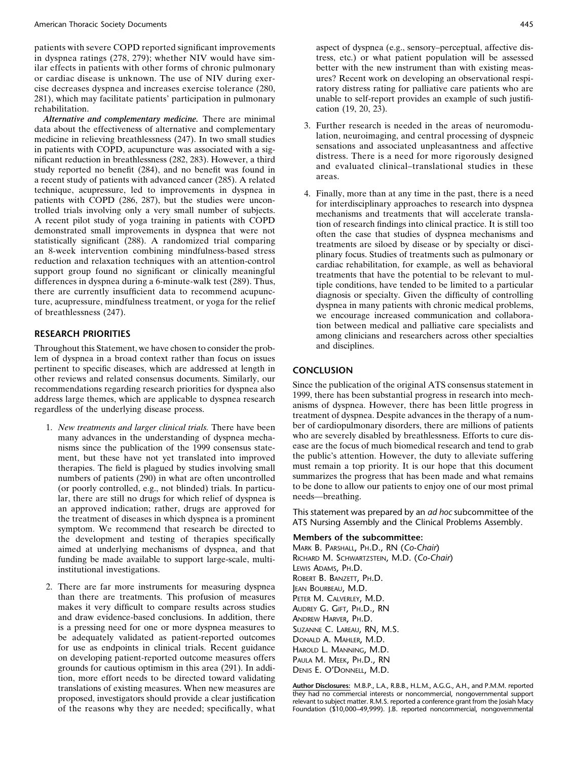patients with severe COPD reported significant improvements in dyspnea ratings (278, 279); whether NIV would have similar effects in patients with other forms of chronic pulmonary or cardiac disease is unknown. The use of NIV during exercise decreases dyspnea and increases exercise tolerance (280, 281), which may facilitate patients' participation in pulmonary rehabilitation.

Alternative and complementary medicine. There are minimal data about the effectiveness of alternative and complementary medicine in relieving breathlessness (247). In two small studies in patients with COPD, acupuncture was associated with a significant reduction in breathlessness (282, 283). However, a third study reported no benefit (284), and no benefit was found in a recent study of patients with advanced cancer (285). A related technique, acupressure, led to improvements in dyspnea in patients with COPD (286, 287), but the studies were uncontrolled trials involving only a very small number of subjects. A recent pilot study of yoga training in patients with COPD demonstrated small improvements in dyspnea that were not statistically significant (288). A randomized trial comparing an 8-week intervention combining mindfulness-based stress reduction and relaxation techniques with an attention-control support group found no significant or clinically meaningful differences in dyspnea during a 6-minute-walk test (289). Thus, there are currently insufficient data to recommend acupuncture, acupressure, mindfulness treatment, or yoga for the relief of breathlessness (247).

## RESEARCH PRIORITIES

Throughout this Statement, we have chosen to consider the problem of dyspnea in a broad context rather than focus on issues pertinent to specific diseases, which are addressed at length in other reviews and related consensus documents. Similarly, our recommendations regarding research priorities for dyspnea also address large themes, which are applicable to dyspnea research regardless of the underlying disease process.

- 1. New treatments and larger clinical trials. There have been many advances in the understanding of dyspnea mechanisms since the publication of the 1999 consensus statement, but these have not yet translated into improved therapies. The field is plagued by studies involving small numbers of patients (290) in what are often uncontrolled (or poorly controlled, e.g., not blinded) trials. In particular, there are still no drugs for which relief of dyspnea is an approved indication; rather, drugs are approved for the treatment of diseases in which dyspnea is a prominent symptom. We recommend that research be directed to the development and testing of therapies specifically aimed at underlying mechanisms of dyspnea, and that funding be made available to support large-scale, multiinstitutional investigations.
- 2. There are far more instruments for measuring dyspnea than there are treatments. This profusion of measures makes it very difficult to compare results across studies and draw evidence-based conclusions. In addition, there is a pressing need for one or more dyspnea measures to be adequately validated as patient-reported outcomes for use as endpoints in clinical trials. Recent guidance on developing patient-reported outcome measures offers grounds for cautious optimism in this area (291). In addition, more effort needs to be directed toward validating translations of existing measures. When new measures are proposed, investigators should provide a clear justification of the reasons why they are needed; specifically, what

aspect of dyspnea (e.g., sensory–perceptual, affective distress, etc.) or what patient population will be assessed better with the new instrument than with existing measures? Recent work on developing an observational respiratory distress rating for palliative care patients who are unable to self-report provides an example of such justification (19, 20, 23).

- 3. Further research is needed in the areas of neuromodulation, neuroimaging, and central processing of dyspneic sensations and associated unpleasantness and affective distress. There is a need for more rigorously designed and evaluated clinical–translational studies in these areas.
- 4. Finally, more than at any time in the past, there is a need for interdisciplinary approaches to research into dyspnea mechanisms and treatments that will accelerate translation of research findings into clinical practice. It is still too often the case that studies of dyspnea mechanisms and treatments are siloed by disease or by specialty or disciplinary focus. Studies of treatments such as pulmonary or cardiac rehabilitation, for example, as well as behavioral treatments that have the potential to be relevant to multiple conditions, have tended to be limited to a particular diagnosis or specialty. Given the difficulty of controlling dyspnea in many patients with chronic medical problems, we encourage increased communication and collaboration between medical and palliative care specialists and among clinicians and researchers across other specialties and disciplines.

# **CONCLUSION**

Since the publication of the original ATS consensus statement in 1999, there has been substantial progress in research into mechanisms of dyspnea. However, there has been little progress in treatment of dyspnea. Despite advances in the therapy of a number of cardiopulmonary disorders, there are millions of patients who are severely disabled by breathlessness. Efforts to cure disease are the focus of much biomedical research and tend to grab the public's attention. However, the duty to alleviate suffering must remain a top priority. It is our hope that this document summarizes the progress that has been made and what remains to be done to allow our patients to enjoy one of our most primal needs—breathing.

This statement was prepared by an ad hoc subcommittee of the ATS Nursing Assembly and the Clinical Problems Assembly.

### Members of the subcommittee:

MARK B. PARSHALL, PH.D., RN (Co-Chair) RICHARD M. SCHWARTZSTEIN, M.D. (Co-Chair) LEWIS ADAMS, PH.D. ROBERT B. BANZETT, PH.D. JEAN BOURBEAU, M.D. PETER M. CALVERLEY, M.D. AUDREY G. GIFT, PH.D., RN ANDREW HARVER, PH.D. SUZANNE C. LAREAU, RN, M.S. DONALD A. MAHLER, M.D. HAROLD L. MANNING, M.D. PAULA M. MEEK, PH.D., RN DENIS E. O'DONNELL, M.D.

[Author Disclosures:](http://ajrccm.atsjournals.org/cgi/data/185/4/435/DC1/1) M.B.P., L.A., R.B.B., H.L.M., A.G.G., A.H., and P.M.M. reported they had no commercial interests or noncommercial, nongovernmental support relevant to subject matter. R.M.S. reported a conference grant from the Josiah Macy Foundation (\$10,000–49,999). J.B. reported noncommercial, nongovernmental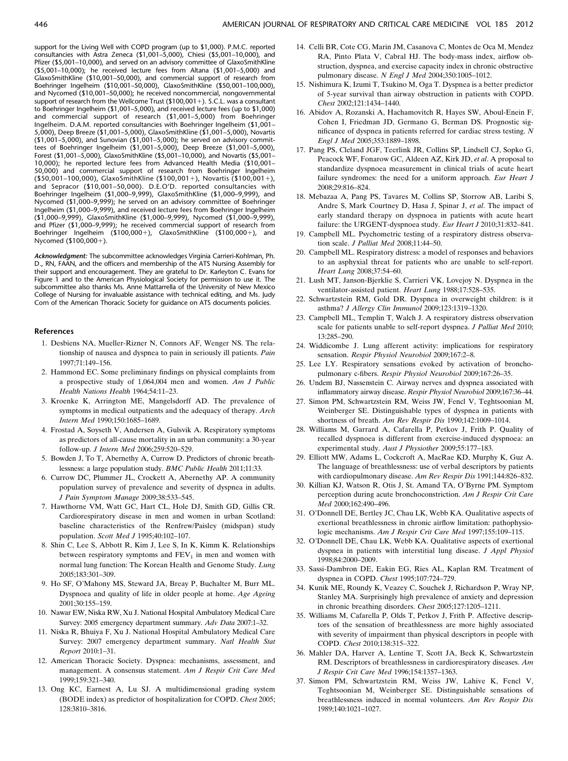support for the Living Well with COPD program (up to \$1,000). P.M.C. reported consultancies with Astra Zeneca (\$1,001–5,000), Chiesi (\$5,001–10,000), and Pfizer (\$5,001–10,000), and served on an advisory committee of GlaxoSmithKline (\$5,001–10,000); he received lecture fees from Altana (\$1,001–5,000) and GlaxoSmithKline (\$10,001–50,000), and commercial support of research from Boehringer Ingelheim (\$10,001–50,000), GlaxoSmithKline (\$50,001–100,000), and Nycomed (\$10,001–50,000); he received noncommercial, nongovernmental support of research from the Wellcome Trust  $($100,001+)$ . S.C.L. was a consultant to Boehringer Ingelheim (\$1,001–5,000), and received lecture fees (up to \$1,000) and commercial support of research (\$1,001–5,000) from Boehringer Ingelheim. D.A.M. reported consultancies with Boehringer Ingelheim (\$1,001– 5,000), Deep Breeze (\$1,001–5,000), GlaxoSmithKline (\$1,001–5,000), Novartis (\$1,001–5,000), and Sunovian (\$1,001–5,000); he served on advisory committees of Boehringer Ingelheim (\$1,001–5,000), Deep Breeze (\$1,001–5,000), Forest (\$1,001–5,000), GlaxoSmithKline (\$5,001–10,000), and Novartis (\$5,001– 10,000); he reported lecture fees from Advanced Health Media (\$10,001– 50,000) and commercial support of research from Boehringer Ingelheim (\$50,001-100,000), GlaxoSmithKline (\$100,001+), Novartis (\$100,001+), and Sepracor (\$10,001–50,000). D.E.O'D. reported consultancies with Boehringer Ingelheim (\$1,000–9,999), GlaxoSmithKline (\$1,000–9,999), and Nycomed (\$1,000–9,999); he served on an advisory committee of Boehringer Ingelheim (\$1,000–9,999), and received lecture fees from Boehringer Ingelheim (\$1,000–9,999), GlaxoSmithKline (\$1,000–9,999), Nycomed (\$1,000–9,999), and Pfizer (\$1,000–9,999); he received commercial support of research from Boehringer Ingelheim (\$100,000+), GlaxoSmithKline (\$100,000+), and<br>Nycomed (\$100,000+).

Acknowledgment: The subcommittee acknowledges Virginia Carrieri-Kohlman, Ph. D., RN, FAAN, and the officers and membership of the ATS Nursing Assembly for their support and encouragement. They are grateful to Dr. Karleyton C. Evans for Figure 1 and to the American Physiological Society for permission to use it. The subcommittee also thanks Ms. Anne Mattarrella of the University of New Mexico College of Nursing for invaluable assistance with technical editing, and Ms. Judy Corn of the American Thoracic Society for guidance on ATS documents policies.

#### References

- 1. Desbiens NA, Mueller-Rizner N, Connors AF, Wenger NS. The relationship of nausea and dyspnea to pain in seriously ill patients. Pain 1997;71:149–156.
- 2. Hammond EC. Some preliminary findings on physical complaints from a prospective study of 1,064,004 men and women. Am J Public Health Nations Health 1964;54:11–23.
- 3. Kroenke K, Arrington ME, Mangelsdorff AD. The prevalence of symptoms in medical outpatients and the adequacy of therapy. Arch Intern Med 1990;150:1685–1689.
- 4. Frostad A, Soyseth V, Andersen A, Gulsvik A. Respiratory symptoms as predictors of all-cause mortality in an urban community: a 30-year follow-up. J Intern Med 2006;259:520–529.
- 5. Bowden J, To T, Abernethy A, Currow D. Predictors of chronic breathlessness: a large population study. BMC Public Health 2011;11:33.
- 6. Currow DC, Plummer JL, Crockett A, Abernethy AP. A community population survey of prevalence and severity of dyspnea in adults. J Pain Symptom Manage 2009;38:533–545.
- 7. Hawthorne VM, Watt GC, Hart CL, Hole DJ, Smith GD, Gillis CR. Cardiorespiratory disease in men and women in urban Scotland: baseline characteristics of the Renfrew/Paisley (midspan) study population. Scott Med J 1995;40:102–107.
- 8. Shin C, Lee S, Abbott R, Kim J, Lee S, In K, Kimm K. Relationships between respiratory symptoms and  $FEV<sub>1</sub>$  in men and women with normal lung function: The Korean Health and Genome Study. Lung 2005;183:301–309.
- 9. Ho SF, O'Mahony MS, Steward JA, Breay P, Buchalter M, Burr ML. Dyspnoea and quality of life in older people at home. Age Ageing 2001;30:155–159.
- 10. Nawar EW, Niska RW, Xu J. National Hospital Ambulatory Medical Care Survey: 2005 emergency department summary. Adv Data 2007:1–32.
- 11. Niska R, Bhuiya F, Xu J. National Hospital Ambulatory Medical Care Survey: 2007 emergency department summary. Natl Health Stat Report 2010:1–31.
- 12. American Thoracic Society. Dyspnea: mechanisms, assessment, and management. A consensus statement. Am J Respir Crit Care Med 1999;159:321–340.
- 13. Ong KC, Earnest A, Lu SJ. A multidimensional grading system (BODE index) as predictor of hospitalization for COPD. Chest 2005; 128:3810–3816.
- 14. Celli BR, Cote CG, Marin JM, Casanova C, Montes de Oca M, Mendez RA, Pinto Plata V, Cabral HJ. The body-mass index, airflow obstruction, dyspnea, and exercise capacity index in chronic obstructive pulmonary disease. N Engl J Med 2004;350:1005–1012.
- 15. Nishimura K, Izumi T, Tsukino M, Oga T. Dyspnea is a better predictor of 5-year survival than airway obstruction in patients with COPD. Chest 2002;121:1434–1440.
- 16. Abidov A, Rozanski A, Hachamovitch R, Hayes SW, Aboul-Enein F, Cohen I, Friedman JD, Germano G, Berman DS. Prognostic significance of dyspnea in patients referred for cardiac stress testing. N Engl J Med 2005;353:1889–1898.
- 17. Pang PS, Cleland JGF, Teerlink JR, Collins SP, Lindsell CJ, Sopko G, Peacock WF, Fonarow GC, Aldeen AZ, Kirk JD, et al. A proposal to standardize dyspnoea measurement in clinical trials of acute heart failure syndromes: the need for a uniform approach. Eur Heart J 2008;29:816–824.
- 18. Mebazaa A, Pang PS, Tavares M, Collins SP, Storrow AB, Laribi S, Andre S, Mark Courtney D, Hasa J, Spinar J, et al. The impact of early standard therapy on dyspnoea in patients with acute heart failure: the URGENT-dyspnoea study. Eur Heart J 2010;31:832–841.
- 19. Campbell ML. Psychometric testing of a respiratory distress observation scale. J Palliat Med 2008;11:44–50.
- 20. Campbell ML. Respiratory distress: a model of responses and behaviors to an asphyxial threat for patients who are unable to self-report. Heart Lung 2008;37:54–60.
- 21. Lush MT, Janson-Bjerklie S, Carrieri VK, Lovejoy N. Dyspnea in the ventilator-assisted patient. Heart Lung 1988;17:528–535.
- 22. Schwartzstein RM, Gold DR. Dyspnea in overweight children: is it asthma? J Allergy Clin Immunol 2009;123:1319–1320.
- 23. Campbell ML, Templin T, Walch J. A respiratory distress observation scale for patients unable to self-report dyspnea. J Palliat Med 2010; 13:285–290.
- 24. Widdicombe J. Lung afferent activity: implications for respiratory sensation. Respir Physiol Neurobiol 2009;167:2–8.
- 25. Lee LY. Respiratory sensations evoked by activation of bronchopulmonary c-fibers. Respir Physiol Neurobiol 2009;167:26–35.
- 26. Undem BJ, Nassenstein C. Airway nerves and dyspnea associated with inflammatory airway disease. Respir Physiol Neurobiol 2009;167:36–44.
- 27. Simon PM, Schwartzstein RM, Weiss JW, Fencl V, Teghtsoonian M, Weinberger SE. Distinguishable types of dyspnea in patients with shortness of breath. Am Rev Respir Dis 1990;142:1009–1014.
- 28. Williams M, Garrard A, Cafarella P, Petkov J, Frith P. Quality of recalled dyspnoea is different from exercise-induced dyspnoea: an experimental study. Aust J Physiother 2009;55:177–183.
- 29. Elliott MW, Adams L, Cockcroft A, MacRae KD, Murphy K, Guz A. The language of breathlessness: use of verbal descriptors by patients with cardiopulmonary disease. Am Rev Respir Dis 1991;144:826–832.
- 30. Killian KJ, Watson R, Otis J, St. Amand TA, O'Byrne PM. Symptom perception during acute bronchoconstriction. Am J Respir Crit Care Med 2000;162:490–496.
- 31. O'Donnell DE, Bertley JC, Chau LK, Webb KA. Qualitative aspects of exertional breathlessness in chronic airflow limitation: pathophysiologic mechanisms. Am J Respir Crit Care Med 1997;155:109–115.
- 32. O'Donnell DE, Chau LK, Webb KA. Qualitative aspects of exertional dyspnea in patients with interstitial lung disease. J Appl Physiol 1998;84:2000–2009.
- 33. Sassi-Dambron DE, Eakin EG, Ries AL, Kaplan RM. Treatment of dyspnea in COPD. Chest 1995;107:724–729.
- 34. Kunik ME, Roundy K, Veazey C, Souchek J, Richardson P, Wray NP, Stanley MA. Surprisingly high prevalence of anxiety and depression in chronic breathing disorders. Chest 2005;127:1205–1211.
- 35. Williams M, Cafarella P, Olds T, Petkov J, Frith P. Affective descriptors of the sensation of breathlessness are more highly associated with severity of impairment than physical descriptors in people with COPD. Chest 2010;138:315–322.
- 36. Mahler DA, Harver A, Lentine T, Scott JA, Beck K, Schwartzstein RM. Descriptors of breathlessness in cardiorespiratory diseases. Am J Respir Crit Care Med 1996;154:1357–1363.
- 37. Simon PM, Schwartzstein RM, Weiss JW, Lahive K, Fencl V, Teghtsoonian M, Weinberger SE. Distinguishable sensations of breathlessness induced in normal volunteers. Am Rev Respir Dis 1989;140:1021–1027.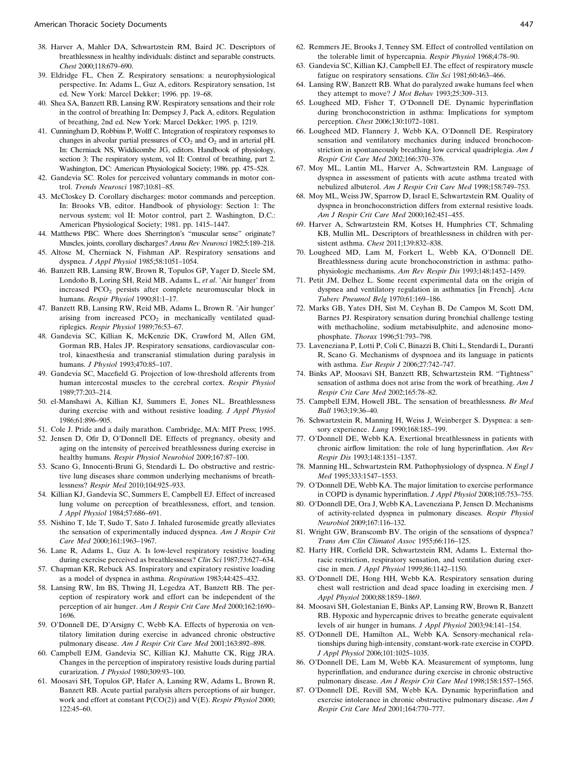- 38. Harver A, Mahler DA, Schwartzstein RM, Baird JC. Descriptors of breathlessness in healthy individuals: distinct and separable constructs. Chest 2000;118:679–690.
- 39. Eldridge FL, Chen Z. Respiratory sensations: a neurophysiological perspective. In: Adams L, Guz A, editors. Respiratory sensation, 1st ed. New York: Marcel Dekker; 1996. pp. 19–68.
- 40. Shea SA, Banzett RB, Lansing RW. Respiratory sensations and their role in the control of breathing In: Dempsey J, Pack A, editors. Regulation of breathing, 2nd ed. New York: Marcel Dekker; 1995. p. 1219.
- 41. Cunningham D, Robbins P, Wolff C. Integration of respiratory responses to changes in alveolar partial pressures of  $CO<sub>2</sub>$  and  $O<sub>2</sub>$  and in arterial pH. In: Cherniack NS, Widdicombe JG, editors. Handbook of physiology, section 3: The respiratory system, vol II: Control of breathing, part 2. Washington, DC: American Physiological Society; 1986. pp. 475–528.
- 42. Gandevia SC. Roles for perceived voluntary commands in motor control. Trends Neurosci 1987;10:81–85.
- 43. McCloskey D. Corollary discharges: motor commands and perception. In: Brooks VB, editor. Handbook of physiology: Section 1: The nervous system; vol II: Motor control, part 2. Washington, D.C.: American Physiological Society; 1981. pp. 1415–1447.
- 44. Matthews PBC. Where does Sherrington's "muscular sense" originate? Muscles, joints, corollary discharges? Annu Rev Neurosci 1982;5:189–218.
- 45. Altose M, Cherniack N, Fishman AP. Respiratory sensations and dyspnea. J Appl Physiol 1985;58:1051–1054.
- 46. Banzett RB, Lansing RW, Brown R, Topulos GP, Yager D, Steele SM, Londoño B, Loring SH, Reid MB, Adams L, et al. 'Air hunger' from increased PCO2 persists after complete neuromuscular block in humans. Respir Physiol 1990;81:1–17.
- 47. Banzett RB, Lansing RW, Reid MB, Adams L, Brown R. 'Air hunger' arising from increased  $PCO<sub>2</sub>$  in mechanically ventilated quadriplegics. Respir Physiol 1989;76:53–67.
- 48. Gandevia SC, Killian K, McKenzie DK, Crawford M, Allen GM, Gorman RB, Hales JP. Respiratory sensations, cardiovascular control, kinaesthesia and transcranial stimulation during paralysis in humans. J Physiol 1993;470:85–107.
- 49. Gandevia SC, Macefield G. Projection of low-threshold afferents from human intercostal muscles to the cerebral cortex. Respir Physiol 1989;77:203–214.
- 50. el-Manshawi A, Killian KJ, Summers E, Jones NL. Breathlessness during exercise with and without resistive loading. J Appl Physiol 1986;61:896–905.
- 51. Cole J. Pride and a daily marathon. Cambridge, MA: MIT Press; 1995.
- 52. Jensen D, Ofir D, O'Donnell DE. Effects of pregnancy, obesity and aging on the intensity of perceived breathlessness during exercise in healthy humans. Respir Physiol Neurobiol 2009;167:87–100.
- 53. Scano G, Innocenti-Bruni G, Stendardi L. Do obstructive and restrictive lung diseases share common underlying mechanisms of breathlessness? Respir Med 2010;104:925–933.
- 54. Killian KJ, Gandevia SC, Summers E, Campbell EJ. Effect of increased lung volume on perception of breathlessness, effort, and tension. J Appl Physiol 1984;57:686–691.
- 55. Nishino T, Ide T, Sudo T, Sato J. Inhaled furosemide greatly alleviates the sensation of experimentally induced dyspnea. Am J Respir Crit Care Med 2000;161:1963–1967.
- 56. Lane R, Adams L, Guz A. Is low-level respiratory resistive loading during exercise perceived as breathlessness? Clin Sci 1987;73:627–634.
- 57. Chapman KR, Rebuck AS. Inspiratory and expiratory resistive loading as a model of dyspnea in asthma. Respiration 1983;44:425–432.
- 58. Lansing RW, Im BS, Thwing JI, Legedza AT, Banzett RB. The perception of respiratory work and effort can be independent of the perception of air hunger. Am J Respir Crit Care Med 2000;162:1690– 1696.
- 59. O'Donnell DE, D'Arsigny C, Webb KA. Effects of hyperoxia on ventilatory limitation during exercise in advanced chronic obstructive pulmonary disease. Am J Respir Crit Care Med 2001;163:892–898.
- 60. Campbell EJM, Gandevia SC, Killian KJ, Mahutte CK, Rigg JRA. Changes in the perception of inspiratory resistive loads during partial curarization. J Physiol 1980;309:93–100.
- 61. Moosavi SH, Topulos GP, Hafer A, Lansing RW, Adams L, Brown R, Banzett RB. Acute partial paralysis alters perceptions of air hunger, work and effort at constant P(CO(2)) and V(E). Respir Physiol 2000; 122:45–60.
- 62. Remmers JE, Brooks J, Tenney SM. Effect of controlled ventilation on the tolerable limit of hypercapnia. Respir Physiol 1968;4:78–90.
- 63. Gandevia SC, Killian KJ, Campbell EJ. The effect of respiratory muscle fatigue on respiratory sensations. Clin Sci 1981;60:463-466.
- 64. Lansing RW, Banzett RB. What do paralyzed awake humans feel when they attempt to move? J Mot Behav 1993;25:309–313.
- 65. Lougheed MD, Fisher T, O'Donnell DE. Dynamic hyperinflation during bronchoconstriction in asthma: Implications for symptom perception. Chest 2006;130:1072–1081.
- 66. Lougheed MD, Flannery J, Webb KA, O'Donnell DE. Respiratory sensation and ventilatory mechanics during induced bronchoconstriction in spontaneously breathing low cervical quadriplegia. Am J Respir Crit Care Med 2002;166:370–376.
- 67. Moy ML, Lantin ML, Harver A, Schwartzstein RM. Language of dyspnea in assessment of patients with acute asthma treated with nebulized albuterol. Am J Respir Crit Care Med 1998;158:749–753.
- 68. Moy ML, Weiss JW, Sparrow D, Israel E, Schwartzstein RM. Quality of dyspnea in bronchoconstriction differs from external resistive loads. Am J Respir Crit Care Med 2000;162:451–455.
- 69. Harver A, Schwartzstein RM, Kotses H, Humphries CT, Schmaling KB, Mullin ML. Descriptors of breathlessness in children with persistent asthma. Chest 2011;139:832–838.
- 70. Lougheed MD, Lam M, Forkert L, Webb KA, O'Donnell DE. Breathlessness during acute bronchoconstriction in asthma: pathophysiologic mechanisms. Am Rev Respir Dis 1993;148:1452–1459.
- 71. Petit JM, Delhez L. Some recent experimental data on the origin of dyspnea and ventilatory regulation in asthmatics [in French]. Acta Tuberc Pneumol Belg 1970;61:169–186.
- 72. Marks GB, Yates DH, Sist M, Ceyhan B, De Campos M, Scott DM, Barnes PJ. Respiratory sensation during bronchial challenge testing with methacholine, sodium metabisulphite, and adenosine monophosphate. Thorax 1996;51:793–798.
- 73. Laveneziana P, Lotti P, Coli C, Binazzi B, Chiti L, Stendardi L, Duranti R, Scano G. Mechanisms of dyspnoea and its language in patients with asthma. Eur Respir J 2006;27:742–747.
- 74. Binks AP, Moosavi SH, Banzett RB, Schwartzstein RM. "Tightness" sensation of asthma does not arise from the work of breathing. Am J Respir Crit Care Med 2002;165:78–82.
- 75. Campbell EJM, Howell JBL. The sensation of breathlessness. Br Med Bull 1963;19:36–40.
- 76. Schwartzstein R, Manning H, Weiss J, Weinberger S. Dyspnea: a sensory experience. Lung 1990;168:185–199.
- 77. O'Donnell DE, Webb KA. Exertional breathlessness in patients with chronic airflow limitation: the role of lung hyperinflation. Am Rev Respir Dis 1993;148:1351–1357.
- 78. Manning HL, Schwartzstein RM. Pathophysiology of dyspnea. N Engl J Med 1995;333:1547–1553.
- 79. O'Donnell DE, Webb KA. The major limitation to exercise performance in COPD is dynamic hyperinflation. J Appl Physiol 2008;105:753–755.
- 80. O'Donnell DE, Ora J, Webb KA, Laveneziana P, Jensen D. Mechanisms of activity-related dyspnea in pulmonary diseases. Respir Physiol Neurobiol 2009;167:116–132.
- 81. Wright GW, Branscomb BV. The origin of the sensations of dyspnea? Trans Am Clin Climatol Assoc 1955;66:116–125.
- 82. Harty HR, Corfield DR, Schwartzstein RM, Adams L. External thoracic restriction, respiratory sensation, and ventilation during exercise in men. J Appl Physiol 1999;86:1142–1150.
- 83. O'Donnell DE, Hong HH, Webb KA. Respiratory sensation during chest wall restriction and dead space loading in exercising men. J Appl Physiol 2000;88:1859–1869.
- 84. Moosavi SH, Golestanian E, Binks AP, Lansing RW, Brown R, Banzett RB. Hypoxic and hypercapnic drives to breathe generate equivalent levels of air hunger in humans. J Appl Physiol 2003;94:141–154.
- 85. O'Donnell DE, Hamilton AL, Webb KA. Sensory-mechanical relationships during high-intensity, constant-work-rate exercise in COPD. J Appl Physiol 2006;101:1025–1035.
- 86. O'Donnell DE, Lam M, Webb KA. Measurement of symptoms, lung hyperinflation, and endurance during exercise in chronic obstructive pulmonary disease. Am J Respir Crit Care Med 1998;158:1557–1565.
- 87. O'Donnell DE, Revill SM, Webb KA. Dynamic hyperinflation and exercise intolerance in chronic obstructive pulmonary disease. Am J Respir Crit Care Med 2001;164:770–777.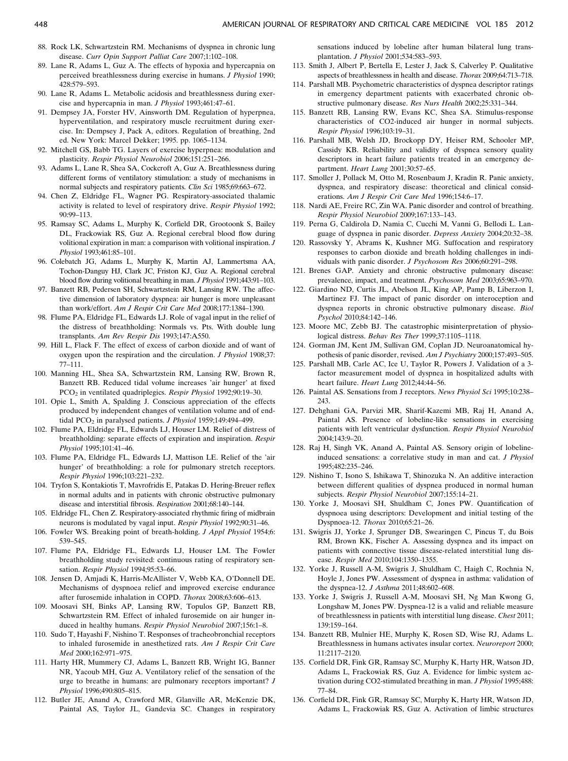- 88. Rock LK, Schwartzstein RM. Mechanisms of dyspnea in chronic lung disease. Curr Opin Support Palliat Care 2007;1:102–108.
- 89. Lane R, Adams L, Guz A. The effects of hypoxia and hypercapnia on perceived breathlessness during exercise in humans. J Physiol 1990; 428:579–593.
- 90. Lane R, Adams L. Metabolic acidosis and breathlessness during exercise and hypercapnia in man. J Physiol 1993;461:47–61.
- 91. Dempsey JA, Forster HV, Ainsworth DM. Regulation of hyperpnea, hyperventilation, and respiratory muscle recruitment during exercise. In: Dempsey J, Pack A, editors. Regulation of breathing, 2nd ed. New York: Marcel Dekker; 1995. pp. 1065–1134.
- 92. Mitchell GS, Babb TG. Layers of exercise hyperpnea: modulation and plasticity. Respir Physiol Neurobiol 2006;151:251–266.
- 93. Adams L, Lane R, Shea SA, Cockcroft A, Guz A. Breathlessness during different forms of ventilatory stimulation: a study of mechanisms in normal subjects and respiratory patients. Clin Sci 1985;69:663–672.
- 94. Chen Z, Eldridge FL, Wagner PG. Respiratory-associated thalamic activity is related to level of respiratory drive. Respir Physiol 1992; 90:99–113.
- 95. Ramsay SC, Adams L, Murphy K, Corfield DR, Grootoonk S, Bailey DL, Frackowiak RS, Guz A. Regional cerebral blood flow during volitional expiration in man: a comparison with volitional inspiration. J Physiol 1993;461:85–101.
- 96. Colebatch JG, Adams L, Murphy K, Martin AJ, Lammertsma AA, Tochon-Danguy HJ, Clark JC, Friston KJ, Guz A. Regional cerebral blood flow during volitional breathing in man. J Physiol 1991;443:91–103.
- 97. Banzett RB, Pedersen SH, Schwartzstein RM, Lansing RW. The affective dimension of laboratory dyspnea: air hunger is more unpleasant than work/effort. Am J Respir Crit Care Med 2008;177:1384–1390.
- 98. Flume PA, Eldridge FL, Edwards LJ. Role of vagal input in the relief of the distress of breathholding: Normals vs. Pts. With double lung transplants. Am Rev Respir Dis 1993;147:A550.
- 99. Hill L, Flack F. The effect of excess of carbon dioxide and of want of oxygen upon the respiration and the circulation. J Physiol 1908;37: 77–111.
- 100. Manning HL, Shea SA, Schwartzstein RM, Lansing RW, Brown R, Banzett RB. Reduced tidal volume increases 'air hunger' at fixed PCO2 in ventilated quadriplegics. Respir Physiol 1992;90:19–30.
- 101. Opie L, Smith A, Spalding J. Conscious appreciation of the effects produced by independent changes of ventilation volume and of endtidal PCO<sub>2</sub> in paralysed patients. J Physiol 1959;149:494-499.
- 102. Flume PA, Eldridge FL, Edwards LJ, Houser LM. Relief of distress of breathholding: separate effects of expiration and inspiration. Respir Physiol 1995;101:41–46.
- 103. Flume PA, Eldridge FL, Edwards LJ, Mattison LE. Relief of the 'air hunger' of breathholding: a role for pulmonary stretch receptors. Respir Physiol 1996;103:221–232.
- 104. Tryfon S, Kontakiotis T, Mavrofridis E, Patakas D. Hering-Breuer reflex in normal adults and in patients with chronic obstructive pulmonary disease and interstitial fibrosis. Respiration 2001;68:140–144.
- 105. Eldridge FL, Chen Z. Respiratory-associated rhythmic firing of midbrain neurons is modulated by vagal input. Respir Physiol 1992;90:31–46.
- 106. Fowler WS. Breaking point of breath-holding. J Appl Physiol 1954;6: 539–545.
- 107. Flume PA, Eldridge FL, Edwards LJ, Houser LM. The Fowler breathholding study revisited: continuous rating of respiratory sensation. Respir Physiol 1994;95:53–66.
- 108. Jensen D, Amjadi K, Harris-McAllister V, Webb KA, O'Donnell DE. Mechanisms of dyspnoea relief and improved exercise endurance after furosemide inhalation in COPD. Thorax 2008;63:606–613.
- 109. Moosavi SH, Binks AP, Lansing RW, Topulos GP, Banzett RB, Schwartzstein RM. Effect of inhaled furosemide on air hunger induced in healthy humans. Respir Physiol Neurobiol 2007;156:1–8.
- 110. Sudo T, Hayashi F, Nishino T. Responses of tracheobronchial receptors to inhaled furosemide in anesthetized rats. Am J Respir Crit Care Med 2000;162:971–975.
- 111. Harty HR, Mummery CJ, Adams L, Banzett RB, Wright IG, Banner NR, Yacoub MH, Guz A. Ventilatory relief of the sensation of the urge to breathe in humans: are pulmonary receptors important? J Physiol 1996;490:805–815.
- 112. Butler JE, Anand A, Crawford MR, Glanville AR, McKenzie DK, Paintal AS, Taylor JL, Gandevia SC. Changes in respiratory

sensations induced by lobeline after human bilateral lung transplantation. J Physiol 2001;534:583–593.

- 113. Smith J, Albert P, Bertella E, Lester J, Jack S, Calverley P. Qualitative aspects of breathlessness in health and disease. Thorax 2009;64:713–718.
- 114. Parshall MB. Psychometric characteristics of dyspnea descriptor ratings in emergency department patients with exacerbated chronic obstructive pulmonary disease. Res Nurs Health 2002;25:331–344.
- 115. Banzett RB, Lansing RW, Evans KC, Shea SA. Stimulus-response characteristics of CO2-induced air hunger in normal subjects. Respir Physiol 1996;103:19–31.
- 116. Parshall MB, Welsh JD, Brockopp DY, Heiser RM, Schooler MP, Cassidy KB. Reliability and validity of dyspnea sensory quality descriptors in heart failure patients treated in an emergency department. Heart Lung 2001;30:57–65.
- 117. Smoller J, Pollack M, Otto M, Rosenbaum J, Kradin R. Panic anxiety, dyspnea, and respiratory disease: theoretical and clinical considerations. Am J Respir Crit Care Med 1996;154:6–17.
- 118. Nardi AE, Freire RC, Zin WA. Panic disorder and control of breathing. Respir Physiol Neurobiol 2009;167:133–143.
- 119. Perna G, Caldirola D, Namia C, Cucchi M, Vanni G, Bellodi L. Language of dyspnea in panic disorder. Depress Anxiety 2004;20:32–38.
- 120. Rassovsky Y, Abrams K, Kushner MG. Suffocation and respiratory responses to carbon dioxide and breath holding challenges in individuals with panic disorder. J Psychosom Res 2006;60:291–298.
- 121. Brenes GAP. Anxiety and chronic obstructive pulmonary disease: prevalence, impact, and treatment. Psychosom Med 2003;65:963–970.
- 122. Giardino ND, Curtis JL, Abelson JL, King AP, Pamp B, Liberzon I, Martinez FJ. The impact of panic disorder on interoception and dyspnea reports in chronic obstructive pulmonary disease. Biol Psychol 2010;84:142–146.
- 123. Moore MC, Zebb BJ. The catastrophic misinterpretation of physiological distress. Behav Res Ther 1999;37:1105–1118.
- 124. Gorman JM, Kent JM, Sullivan GM, Coplan JD. Neuroanatomical hypothesis of panic disorder, revised. Am J Psychiatry 2000;157:493–505.
- 125. Parshall MB, Carle AC, Ice U, Taylor R, Powers J. Validation of a 3 factor measurement model of dyspnea in hospitalized adults with heart failure. Heart Lung 2012;44:44–56.
- 126. Paintal AS. Sensations from J receptors. News Physiol Sci 1995;10:238– 243.
- 127. Dehghani GA, Parvizi MR, Sharif-Kazemi MB, Raj H, Anand A, Paintal AS. Presence of lobeline-like sensations in exercising patients with left ventricular dysfunction. Respir Physiol Neurobiol 2004;143:9–20.
- 128. Raj H, Singh VK, Anand A, Paintal AS. Sensory origin of lobelineinduced sensations: a correlative study in man and cat. J Physiol 1995;482:235–246.
- 129. Nishino T, Isono S, Ishikawa T, Shinozuka N. An additive interaction between different qualities of dyspnea produced in normal human subjects. Respir Physiol Neurobiol 2007;155:14–21.
- 130. Yorke J, Moosavi SH, Shuldham C, Jones PW. Quantification of dyspnoea using descriptors: Development and initial testing of the Dyspnoea-12. Thorax 2010;65:21–26.
- 131. Swigris JJ, Yorke J, Sprunger DB, Swearingen C, Pincus T, du Bois RM, Brown KK, Fischer A. Assessing dyspnea and its impact on patients with connective tissue disease-related interstitial lung disease. Respir Med 2010;104:1350–1355.
- 132. Yorke J, Russell A-M, Swigris J, Shuldham C, Haigh C, Rochnia N, Hoyle J, Jones PW. Assessment of dyspnea in asthma: validation of the dyspnea-12. J Asthma 2011;48:602–608.
- 133. Yorke J, Swigris J, Russell A-M, Moosavi SH, Ng Man Kwong G, Longshaw M, Jones PW. Dyspnea-12 is a valid and reliable measure of breathlessness in patients with interstitial lung disease. Chest 2011; 139:159–164.
- 134. Banzett RB, Mulnier HE, Murphy K, Rosen SD, Wise RJ, Adams L. Breathlessness in humans activates insular cortex. Neuroreport 2000; 11:2117–2120.
- 135. Corfield DR, Fink GR, Ramsay SC, Murphy K, Harty HR, Watson JD, Adams L, Frackowiak RS, Guz A. Evidence for limbic system activation during CO2-stimulated breathing in man. J Physiol 1995;488: 77–84.
- 136. Corfield DR, Fink GR, Ramsay SC, Murphy K, Harty HR, Watson JD, Adams L, Frackowiak RS, Guz A. Activation of limbic structures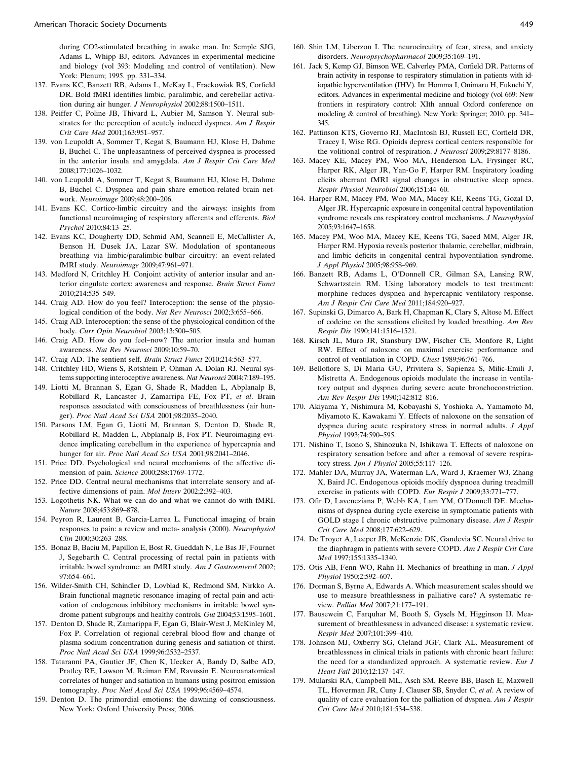during CO2-stimulated breathing in awake man. In: Semple SJG, Adams L, Whipp BJ, editors. Advances in experimental medicine and biology (vol 393: Modeling and control of ventilation). New York: Plenum; 1995. pp. 331–334.

- 137. Evans KC, Banzett RB, Adams L, McKay L, Frackowiak RS, Corfield DR. Bold fMRI identifies limbic, paralimbic, and cerebellar activation during air hunger. J Neurophysiol 2002;88:1500–1511.
- 138. Peiffer C, Poline JB, Thivard L, Aubier M, Samson Y. Neural substrates for the perception of acutely induced dyspnea. Am J Respir Crit Care Med 2001;163:951–957.
- 139. von Leupoldt A, Sommer T, Kegat S, Baumann HJ, Klose H, Dahme B, Buchel C. The unpleasantness of perceived dyspnea is processed in the anterior insula and amygdala. Am J Respir Crit Care Med 2008;177:1026–1032.
- 140. von Leupoldt A, Sommer T, Kegat S, Baumann HJ, Klose H, Dahme B, Büchel C. Dyspnea and pain share emotion-related brain network. Neuroimage 2009;48:200–206.
- 141. Evans KC. Cortico-limbic circuitry and the airways: insights from functional neuroimaging of respiratory afferents and efferents. Biol Psychol 2010;84:13–25.
- 142. Evans KC, Dougherty DD, Schmid AM, Scannell E, McCallister A, Benson H, Dusek JA, Lazar SW. Modulation of spontaneous breathing via limbic/paralimbic-bulbar circuitry: an event-related fMRI study. Neuroimage 2009;47:961–971.
- 143. Medford N, Critchley H. Conjoint activity of anterior insular and anterior cingulate cortex: awareness and response. Brain Struct Funct 2010;214:535–549.
- 144. Craig AD. How do you feel? Interoception: the sense of the physiological condition of the body. Nat Rev Neurosci 2002;3:655–666.
- 145. Craig AD. Interoception: the sense of the physiological condition of the body. Curr Opin Neurobiol 2003;13:500–505.
- 146. Craig AD. How do you feel–now? The anterior insula and human awareness. Nat Rev Neurosci 2009;10:59–70.
- 147. Craig AD. The sentient self. Brain Struct Funct 2010;214:563–577.
- 148. Critchley HD, Wiens S, Rotshtein P, Ohman A, Dolan RJ. Neural systems supporting interoceptive awareness. Nat Neurosci 2004;7:189–195.
- 149. Liotti M, Brannan S, Egan G, Shade R, Madden L, Abplanalp B, Robillard R, Lancaster J, Zamarripa FE, Fox PT, et al. Brain responses associated with consciousness of breathlessness (air hunger). Proc Natl Acad Sci USA 2001;98:2035–2040.
- 150. Parsons LM, Egan G, Liotti M, Brannan S, Denton D, Shade R, Robillard R, Madden L, Abplanalp B, Fox PT. Neuroimaging evidence implicating cerebellum in the experience of hypercapnia and hunger for air. Proc Natl Acad Sci USA 2001;98:2041–2046.
- 151. Price DD. Psychological and neural mechanisms of the affective dimension of pain. Science 2000;288:1769–1772.
- 152. Price DD. Central neural mechanisms that interrelate sensory and affective dimensions of pain. Mol Interv 2002;2:392–403.
- 153. Logothetis NK. What we can do and what we cannot do with fMRI. Nature 2008;453:869–878.
- 154. Peyron R, Laurent B, Garcia-Larrea L. Functional imaging of brain responses to pain: a review and meta- analysis (2000). Neurophysiol Clin 2000;30:263–288.
- 155. Bonaz B, Baciu M, Papillon E, Bost R, Gueddah N, Le Bas JF, Fournet J, Segebarth C. Central processing of rectal pain in patients with irritable bowel syndrome: an fMRI study. Am J Gastroenterol 2002; 97:654–661.
- 156. Wilder-Smith CH, Schindler D, Lovblad K, Redmond SM, Nirkko A. Brain functional magnetic resonance imaging of rectal pain and activation of endogenous inhibitory mechanisms in irritable bowel syndrome patient subgroups and healthy controls. Gut 2004;53:1595–1601.
- 157. Denton D, Shade R, Zamarippa F, Egan G, Blair-West J, McKinley M, Fox P. Correlation of regional cerebral blood flow and change of plasma sodium concentration during genesis and satiation of thirst. Proc Natl Acad Sci USA 1999;96:2532–2537.
- 158. Tataranni PA, Gautier JF, Chen K, Uecker A, Bandy D, Salbe AD, Pratley RE, Lawson M, Reiman EM, Ravussin E. Neuroanatomical correlates of hunger and satiation in humans using positron emission tomography. Proc Natl Acad Sci USA 1999;96:4569–4574.
- 159. Denton D. The primordial emotions: the dawning of consciousness. New York: Oxford University Press; 2006.
- 160. Shin LM, Liberzon I. The neurocircuitry of fear, stress, and anxiety disorders. Neuropsychopharmacol 2009;35:169–191.
- 161. Jack S, Kemp GJ, Bimson WE, Calverley PMA, Corfield DR. Patterns of brain activity in response to respiratory stimulation in patients with idiopathic hyperventilation (IHV). In: Homma I, Onimaru H, Fukuchi Y, editors. Advances in experimental medicine and biology (vol 669: New frontiers in respiratory control: XIth annual Oxford conference on modeling & control of breathing). New York: Springer; 2010. pp. 341– 345.
- 162. Pattinson KTS, Governo RJ, MacIntosh BJ, Russell EC, Corfield DR, Tracey I, Wise RG. Opioids depress cortical centers responsible for the volitional control of respiration. J Neurosci 2009;29:8177–8186.
- 163. Macey KE, Macey PM, Woo MA, Henderson LA, Frysinger RC, Harper RK, Alger JR, Yan-Go F, Harper RM. Inspiratory loading elicits aberrant fMRI signal changes in obstructive sleep apnea. Respir Physiol Neurobiol 2006;151:44–60.
- 164. Harper RM, Macey PM, Woo MA, Macey KE, Keens TG, Gozal D, Alger JR. Hypercapnic exposure in congenital central hypoventilation syndrome reveals cns respiratory control mechanisms. J Neurophysiol 2005;93:1647–1658.
- 165. Macey PM, Woo MA, Macey KE, Keens TG, Saeed MM, Alger JR, Harper RM. Hypoxia reveals posterior thalamic, cerebellar, midbrain, and limbic deficits in congenital central hypoventilation syndrome. J Appl Physiol 2005;98:958–969.
- 166. Banzett RB, Adams L, O'Donnell CR, Gilman SA, Lansing RW, Schwartzstein RM. Using laboratory models to test treatment: morphine reduces dyspnea and hypercapnic ventilatory response. Am J Respir Crit Care Med 2011;184:920–927.
- 167. Supinski G, Dimarco A, Bark H, Chapman K, Clary S, Altose M. Effect of codeine on the sensations elicited by loaded breathing. Am Rev Respir Dis 1990;141:1516–1521.
- 168. Kirsch JL, Muro JR, Stansbury DW, Fischer CE, Monfore R, Light RW. Effect of naloxone on maximal exercise performance and control of ventilation in COPD. Chest 1989;96:761–766.
- 169. Bellofiore S, Di Maria GU, Privitera S, Sapienza S, Milic-Emili J, Mistretta A. Endogenous opioids modulate the increase in ventilatory output and dyspnea during severe acute bronchoconstriction. Am Rev Respir Dis 1990;142:812–816.
- 170. Akiyama Y, Nishimura M, Kobayashi S, Yoshioka A, Yamamoto M, Miyamoto K, Kawakami Y. Effects of naloxone on the sensation of dyspnea during acute respiratory stress in normal adults. J Appl Physiol 1993;74:590–595.
- 171. Nishino T, Isono S, Shinozuka N, Ishikawa T. Effects of naloxone on respiratory sensation before and after a removal of severe respiratory stress. Jpn J Physiol 2005;55:117–126.
- 172. Mahler DA, Murray JA, Waterman LA, Ward J, Kraemer WJ, Zhang X, Baird JC. Endogenous opioids modify dyspnoea during treadmill exercise in patients with COPD. Eur Respir J 2009;33:771–777.
- 173. Ofir D, Laveneziana P, Webb KA, Lam YM, O'Donnell DE. Mechanisms of dyspnea during cycle exercise in symptomatic patients with GOLD stage I chronic obstructive pulmonary disease. Am J Respir Crit Care Med 2008;177:622–629.
- 174. De Troyer A, Leeper JB, McKenzie DK, Gandevia SC. Neural drive to the diaphragm in patients with severe COPD. Am J Respir Crit Care Med 1997;155:1335–1340.
- 175. Otis AB, Fenn WO, Rahn H. Mechanics of breathing in man. J Appl Physiol 1950;2:592–607.
- 176. Dorman S, Byrne A, Edwards A. Which measurement scales should we use to measure breathlessness in palliative care? A systematic review. Palliat Med 2007;21:177–191.
- 177. Bausewein C, Farquhar M, Booth S, Gysels M, Higginson IJ. Measurement of breathlessness in advanced disease: a systematic review. Respir Med 2007;101:399–410.
- 178. Johnson MJ, Oxberry SG, Cleland JGF, Clark AL. Measurement of breathlessness in clinical trials in patients with chronic heart failure: the need for a standardized approach. A systematic review. Eur J Heart Fail 2010;12:137–147.
- 179. Mularski RA, Campbell ML, Asch SM, Reeve BB, Basch E, Maxwell TL, Hoverman JR, Cuny J, Clauser SB, Snyder C, et al. A review of quality of care evaluation for the palliation of dyspnea. Am J Respir Crit Care Med 2010;181:534–538.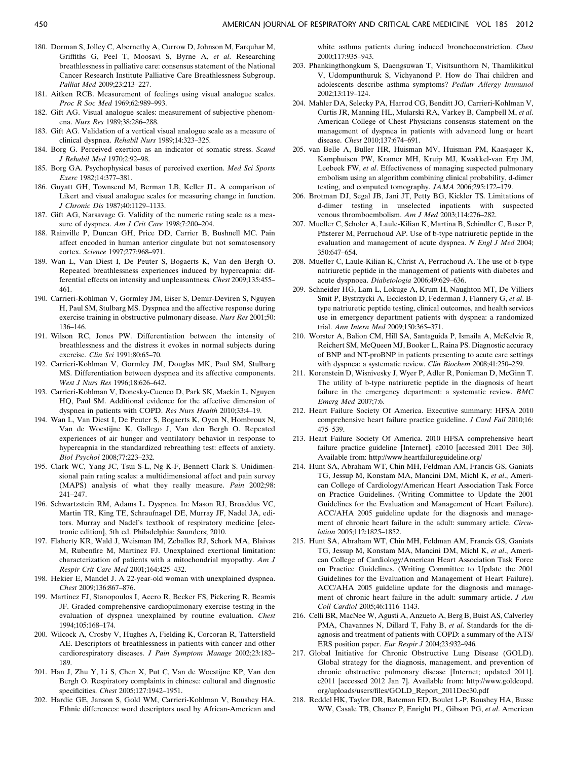- 180. Dorman S, Jolley C, Abernethy A, Currow D, Johnson M, Farquhar M, Griffiths G, Peel T, Moosavi S, Byrne A, et al. Researching breathlessness in palliative care: consensus statement of the National Cancer Research Institute Palliative Care Breathlessness Subgroup. Palliat Med 2009;23:213–227.
- 181. Aitken RCB. Measurement of feelings using visual analogue scales. Proc R Soc Med 1969;62:989–993.
- 182. Gift AG. Visual analogue scales: measurement of subjective phenomena. Nurs Res 1989;38:286–288.
- 183. Gift AG. Validation of a vertical visual analogue scale as a measure of clinical dyspnea. Rehabil Nurs 1989;14:323–325.
- 184. Borg G. Perceived exertion as an indicator of somatic stress. Scand J Rehabil Med 1970;2:92–98.
- 185. Borg GA. Psychophysical bases of perceived exertion. Med Sci Sports Exerc 1982;14:377–381.
- 186. Guyatt GH, Townsend M, Berman LB, Keller JL. A comparison of Likert and visual analogue scales for measuring change in function. J Chronic Dis 1987;40:1129–1133.
- 187. Gift AG, Narsavage G. Validity of the numeric rating scale as a measure of dyspnea. Am J Crit Care 1998;7:200-204.
- 188. Rainville P, Duncan GH, Price DD, Carrier B, Bushnell MC. Pain affect encoded in human anterior cingulate but not somatosensory cortex. Science 1997;277:968–971.
- 189. Wan L, Van Diest I, De Peuter S, Bogaerts K, Van den Bergh O. Repeated breathlessness experiences induced by hypercapnia: differential effects on intensity and unpleasantness. Chest 2009;135:455– 461.
- 190. Carrieri-Kohlman V, Gormley JM, Eiser S, Demir-Deviren S, Nguyen H, Paul SM, Stulbarg MS. Dyspnea and the affective response during exercise training in obstructive pulmonary disease. Nurs Res 2001;50: 136–146.
- 191. Wilson RC, Jones PW. Differentiation between the intensity of breathlessness and the distress it evokes in normal subjects during exercise. Clin Sci 1991;80:65–70.
- 192. Carrieri-Kohlman V, Gormley JM, Douglas MK, Paul SM, Stulbarg MS. Differentiation between dyspnea and its affective components. West J Nurs Res 1996;18:626–642.
- 193. Carrieri-Kohlman V, Donesky-Cuenco D, Park SK, Mackin L, Nguyen HQ, Paul SM. Additional evidence for the affective dimension of dyspnea in patients with COPD. Res Nurs Health 2010;33:4–19.
- 194. Wan L, Van Diest I, De Peuter S, Bogaerts K, Oyen N, Hombroux N, Van de Woestijne K, Gallego J, Van den Bergh O. Repeated experiences of air hunger and ventilatory behavior in response to hypercapnia in the standardized rebreathing test: effects of anxiety. Biol Psychol 2008;77:223–232.
- 195. Clark WC, Yang JC, Tsui S-L, Ng K-F, Bennett Clark S. Unidimensional pain rating scales: a multidimensional affect and pain survey (MAPS) analysis of what they really measure. Pain 2002;98: 241–247.
- 196. Schwartzstein RM, Adams L. Dyspnea. In: Mason RJ, Broaddus VC, Martin TR, King TE, Schraufnagel DE, Murray JF, Nadel JA, editors. Murray and Nadel's textbook of respiratory medicine [electronic edition], 5th ed. Philadelphia: Saunders; 2010.
- 197. Flaherty KR, Wald J, Weisman IM, Zeballos RJ, Schork MA, Blaivas M, Rubenfire M, Martinez FJ. Unexplained exertional limitation: characterization of patients with a mitochondrial myopathy. Am J Respir Crit Care Med 2001;164:425–432.
- 198. Hekier E, Mandel J. A 22-year-old woman with unexplained dyspnea. Chest 2009;136:867–876.
- 199. Martinez FJ, Stanopoulos I, Acero R, Becker FS, Pickering R, Beamis JF. Graded comprehensive cardiopulmonary exercise testing in the evaluation of dyspnea unexplained by routine evaluation. Chest 1994;105:168–174.
- 200. Wilcock A, Crosby V, Hughes A, Fielding K, Corcoran R, Tattersfield AE. Descriptors of breathlessness in patients with cancer and other cardiorespiratory diseases. J Pain Symptom Manage 2002;23:182– 189.
- 201. Han J, Zhu Y, Li S, Chen X, Put C, Van de Woestijne KP, Van den Bergh O. Respiratory complaints in chinese: cultural and diagnostic specificities. Chest 2005;127:1942–1951.
- 202. Hardie GE, Janson S, Gold WM, Carrieri-Kohlman V, Boushey HA. Ethnic differences: word descriptors used by African-American and

white asthma patients during induced bronchoconstriction. Chest 2000;117:935–943.

- 203. Phankingthongkum S, Daengsuwan T, Visitsunthorn N, Thamlikitkul V, Udompunthuruk S, Vichyanond P. How do Thai children and adolescents describe asthma symptoms? Pediatr Allergy Immunol 2002;13:119–124.
- 204. Mahler DA, Selecky PA, Harrod CG, Benditt JO, Carrieri-Kohlman V, Curtis JR, Manning HL, Mularski RA, Varkey B, Campbell M, et al. American College of Chest Physicians consensus statement on the management of dyspnea in patients with advanced lung or heart disease. Chest 2010;137:674–691.
- 205. van Belle A, Buller HR, Huisman MV, Huisman PM, Kaasjager K, Kamphuisen PW, Kramer MH, Kruip MJ, Kwakkel-van Erp JM, Leebeek FW, et al. Effectiveness of managing suspected pulmonary embolism using an algorithm combining clinical probability, d-dimer testing, and computed tomography. JAMA 2006;295:172–179.
- 206. Brotman DJ, Segal JB, Jani JT, Petty BG, Kickler TS. Limitations of d-dimer testing in unselected inpatients with suspected venous thromboembolism. Am J Med 2003;114:276–282.
- 207. Mueller C, Scholer A, Laule-Kilian K, Martina B, Schindler C, Buser P, Pfisterer M, Perruchoud AP. Use of b-type natriuretic peptide in the evaluation and management of acute dyspnea. N Engl J Med 2004; 350:647–654.
- 208. Mueller C, Laule-Kilian K, Christ A, Perruchoud A. The use of b-type natriuretic peptide in the management of patients with diabetes and acute dyspnoea. Diabetologia 2006;49:629–636.
- 209. Schneider HG, Lam L, Lokuge A, Krum H, Naughton MT, De Villiers Smit P, Bystrzycki A, Eccleston D, Federman J, Flannery G, et al. Btype natriuretic peptide testing, clinical outcomes, and health services use in emergency department patients with dyspnea: a randomized trial. Ann Intern Med 2009;150:365–371.
- 210. Worster A, Balion CM, Hill SA, Santaguida P, Ismaila A, McKelvie R, Reichert SM, McQueen MJ, Booker L, Raina PS. Diagnostic accuracy of BNP and NT-proBNP in patients presenting to acute care settings with dyspnea: a systematic review. Clin Biochem 2008;41:250–259.
- 211. Korenstein D, Wisnivesky J, Wyer P, Adler R, Ponieman D, McGinn T. The utility of b-type natriuretic peptide in the diagnosis of heart failure in the emergency department: a systematic review. BMC Emerg Med 2007;7:6.
- 212. Heart Failure Society Of America. Executive summary: HFSA 2010 comprehensive heart failure practice guideline. J Card Fail 2010;16: 475–539.
- 213. Heart Failure Society Of America. 2010 HFSA comprehensive heart failure practice guideline [Internet]. c2010 [accessed 2011 Dec 30]. Available from:<http://www.heartfailureguideline.org/>
- 214. Hunt SA, Abraham WT, Chin MH, Feldman AM, Francis GS, Ganiats TG, Jessup M, Konstam MA, Mancini DM, Michl K, et al., American College of Cardiology/American Heart Association Task Force on Practice Guidelines. (Writing Committee to Update the 2001 Guidelines for the Evaluation and Management of Heart Failure). ACC/AHA 2005 guideline update for the diagnosis and management of chronic heart failure in the adult: summary article. Circulation 2005;112:1825–1852.
- 215. Hunt SA, Abraham WT, Chin MH, Feldman AM, Francis GS, Ganiats TG, Jessup M, Konstam MA, Mancini DM, Michl K, et al., American College of Cardiology/American Heart Association Task Force on Practice Guidelines. (Writing Committee to Update the 2001 Guidelines for the Evaluation and Management of Heart Failure). ACC/AHA 2005 guideline update for the diagnosis and management of chronic heart failure in the adult: summary article. J Am Coll Cardiol 2005;46:1116–1143.
- 216. Celli BR, MacNee W, Agusti A, Anzueto A, Berg B, Buist AS, Calverley PMA, Chavannes N, Dillard T, Fahy B, et al. Standards for the diagnosis and treatment of patients with COPD: a summary of the ATS/ ERS position paper. Eur Respir J 2004;23:932–946.
- 217. Global Initiative for Chronic Obstructive Lung Disease (GOLD). Global strategy for the diagnosis, management, and prevention of chronic obstructive pulmonary disease [Internet; updated 2011]. c2011 [accessed 2012 Jan 7]. Available from: [http://www.goldcopd.](http://www.goldcopd.org/uploads/users/files/GOLD_Report_2011Dec30.pdf) [org/uploads/users/files/GOLD\\_Report\\_2011Dec30.pdf](http://www.goldcopd.org/uploads/users/files/GOLD_Report_2011Dec30.pdf)
- 218. Reddel HK, Taylor DR, Bateman ED, Boulet L-P, Boushey HA, Busse WW, Casale TB, Chanez P, Enright PL, Gibson PG, et al. American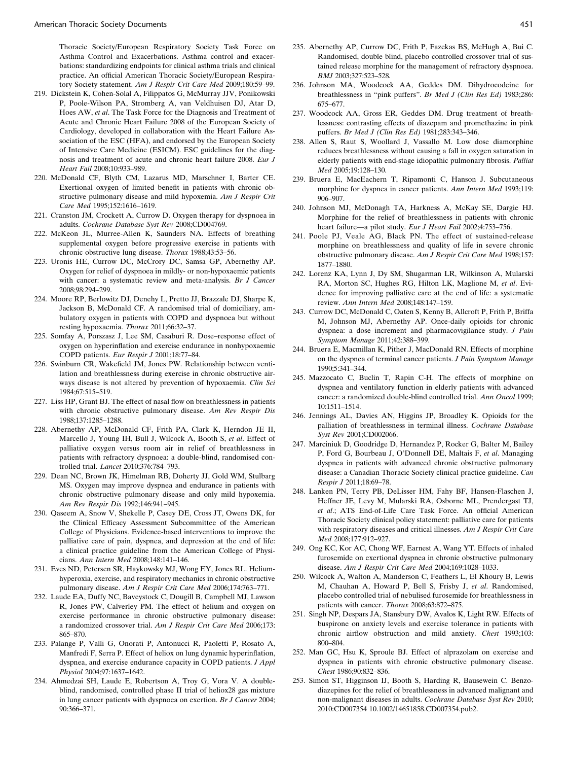Thoracic Society/European Respiratory Society Task Force on Asthma Control and Exacerbations. Asthma control and exacerbations: standardizing endpoints for clinical asthma trials and clinical practice. An official American Thoracic Society/European Respiratory Society statement. Am J Respir Crit Care Med 2009;180:59–99.

- 219. Dickstein K, Cohen-Solal A, Filippatos G, McMurray JJV, Ponikowski P, Poole-Wilson PA, Stromberg A, van Veldhuisen DJ, Atar D, Hoes AW, et al. The Task Force for the Diagnosis and Treatment of Acute and Chronic Heart Failure 2008 of the European Society of Cardiology, developed in collaboration with the Heart Failure Association of the ESC (HFA), and endorsed by the European Society of Intensive Care Medicine (ESICM). ESC guidelines for the diagnosis and treatment of acute and chronic heart failure 2008. Eur J Heart Fail 2008;10:933–989.
- 220. McDonald CF, Blyth CM, Lazarus MD, Marschner I, Barter CE. Exertional oxygen of limited benefit in patients with chronic obstructive pulmonary disease and mild hypoxemia. Am J Respir Crit Care Med 1995;152:1616–1619.
- 221. Cranston JM, Crockett A, Currow D. Oxygen therapy for dyspnoea in adults. Cochrane Database Syst Rev 2008;CD004769.
- 222. McKeon JL, Murree-Allen K, Saunders NA. Effects of breathing supplemental oxygen before progressive exercise in patients with chronic obstructive lung disease. Thorax 1988;43:53–56.
- 223. Uronis HE, Currow DC, McCrory DC, Samsa GP, Abernethy AP. Oxygen for relief of dyspnoea in mildly- or non-hypoxaemic patients with cancer: a systematic review and meta-analysis. Br J Cancer 2008;98:294–299.
- 224. Moore RP, Berlowitz DJ, Denehy L, Pretto JJ, Brazzale DJ, Sharpe K, Jackson B, McDonald CF. A randomised trial of domiciliary, ambulatory oxygen in patients with COPD and dyspnoea but without resting hypoxaemia. Thorax 2011;66:32–37.
- 225. Somfay A, Porszasz J, Lee SM, Casaburi R. Dose–response effect of oxygen on hyperinflation and exercise endurance in nonhypoxaemic COPD patients. Eur Respir J 2001;18:77–84.
- 226. Swinburn CR, Wakefield JM, Jones PW. Relationship between ventilation and breathlessness during exercise in chronic obstructive airways disease is not altered by prevention of hypoxaemia. Clin Sci 1984;67:515–519.
- 227. Liss HP, Grant BJ. The effect of nasal flow on breathlessness in patients with chronic obstructive pulmonary disease. Am Rev Respir Dis 1988;137:1285–1288.
- 228. Abernethy AP, McDonald CF, Frith PA, Clark K, Herndon JE II, Marcello J, Young IH, Bull J, Wilcock A, Booth S, et al. Effect of palliative oxygen versus room air in relief of breathlessness in patients with refractory dyspnoea: a double-blind, randomised controlled trial. Lancet 2010;376:784–793.
- 229. Dean NC, Brown JK, Himelman RB, Doherty JJ, Gold WM, Stulbarg MS. Oxygen may improve dyspnea and endurance in patients with chronic obstructive pulmonary disease and only mild hypoxemia. Am Rev Respir Dis 1992;146:941–945.
- 230. Qaseem A, Snow V, Shekelle P, Casey DE, Cross JT, Owens DK, for the Clinical Efficacy Assessment Subcommittee of the American College of Physicians. Evidence-based interventions to improve the palliative care of pain, dyspnea, and depression at the end of life: a clinical practice guideline from the American College of Physicians. Ann Intern Med 2008;148:141–146.
- 231. Eves ND, Petersen SR, Haykowsky MJ, Wong EY, Jones RL. Heliumhyperoxia, exercise, and respiratory mechanics in chronic obstructive pulmonary disease. Am J Respir Crit Care Med 2006;174:763–771.
- 232. Laude EA, Duffy NC, Baveystock C, Dougill B, Campbell MJ, Lawson R, Jones PW, Calverley PM. The effect of helium and oxygen on exercise performance in chronic obstructive pulmonary disease: a randomized crossover trial. Am J Respir Crit Care Med 2006;173: 865–870.
- 233. Palange P, Valli G, Onorati P, Antonucci R, Paoletti P, Rosato A, Manfredi F, Serra P. Effect of heliox on lung dynamic hyperinflation, dyspnea, and exercise endurance capacity in COPD patients. J Appl Physiol 2004;97:1637–1642.
- 234. Ahmedzai SH, Laude E, Robertson A, Troy G, Vora V. A doubleblind, randomised, controlled phase II trial of heliox28 gas mixture in lung cancer patients with dyspnoea on exertion. Br J Cancer 2004; 90:366–371.
- 235. Abernethy AP, Currow DC, Frith P, Fazekas BS, McHugh A, Bui C. Randomised, double blind, placebo controlled crossover trial of sustained release morphine for the management of refractory dyspnoea. BMJ 2003;327:523–528.
- 236. Johnson MA, Woodcock AA, Geddes DM. Dihydrocodeine for breathlessness in "pink puffers". Br Med J (Clin Res Ed) 1983;286: 675–677.
- 237. Woodcock AA, Gross ER, Geddes DM. Drug treatment of breathlessness: contrasting effects of diazepam and promethazine in pink puffers. Br Med J (Clin Res Ed) 1981;283:343–346.
- 238. Allen S, Raut S, Woollard J, Vassallo M. Low dose diamorphine reduces breathlessness without causing a fall in oxygen saturation in elderly patients with end-stage idiopathic pulmonary fibrosis. Palliat Med 2005;19:128–130.
- 239. Bruera E, MacEachern T, Ripamonti C, Hanson J. Subcutaneous morphine for dyspnea in cancer patients. Ann Intern Med 1993;119: 906–907.
- 240. Johnson MJ, McDonagh TA, Harkness A, McKay SE, Dargie HJ. Morphine for the relief of breathlessness in patients with chronic heart failure—a pilot study. Eur J Heart Fail 2002;4:753-756.
- 241. Poole PJ, Veale AG, Black PN. The effect of sustained-release morphine on breathlessness and quality of life in severe chronic obstructive pulmonary disease. Am J Respir Crit Care Med 1998;157: 1877–1880.
- 242. Lorenz KA, Lynn J, Dy SM, Shugarman LR, Wilkinson A, Mularski RA, Morton SC, Hughes RG, Hilton LK, Maglione M, et al. Evidence for improving palliative care at the end of life: a systematic review. Ann Intern Med 2008;148:147–159.
- 243. Currow DC, McDonald C, Oaten S, Kenny B, Allcroft P, Frith P, Briffa M, Johnson MJ, Abernethy AP. Once-daily opioids for chronic dyspnea: a dose increment and pharmacovigilance study. J Pain Symptom Manage 2011;42:388–399.
- 244. Bruera E, Macmillan K, Pither J, MacDonald RN. Effects of morphine on the dyspnea of terminal cancer patients. J Pain Symptom Manage 1990;5:341–344.
- 245. Mazzocato C, Buclin T, Rapin C-H. The effects of morphine on dyspnea and ventilatory function in elderly patients with advanced cancer: a randomized double-blind controlled trial. Ann Oncol 1999; 10:1511–1514.
- 246. Jennings AL, Davies AN, Higgins JP, Broadley K. Opioids for the palliation of breathlessness in terminal illness. Cochrane Database Syst Rev 2001;CD002066.
- 247. Marciniuk D, Goodridge D, Hernandez P, Rocker G, Balter M, Bailey P, Ford G, Bourbeau J, O'Donnell DE, Maltais F, et al. Managing dyspnea in patients with advanced chronic obstructive pulmonary disease: a Canadian Thoracic Society clinical practice guideline. Can Respir J 2011;18:69–78.
- 248. Lanken PN, Terry PB, DeLisser HM, Fahy BF, Hansen-Flaschen J, Heffner JE, Levy M, Mularski RA, Osborne ML, Prendergast TJ, et al.; ATS End-of-Life Care Task Force. An official American Thoracic Society clinical policy statement: palliative care for patients with respiratory diseases and critical illnesses. Am J Respir Crit Care Med 2008;177:912–927.
- 249. Ong KC, Kor AC, Chong WF, Earnest A, Wang YT. Effects of inhaled furosemide on exertional dyspnea in chronic obstructive pulmonary disease. Am J Respir Crit Care Med 2004;169:1028–1033.
- 250. Wilcock A, Walton A, Manderson C, Feathers L, El Khoury B, Lewis M, Chauhan A, Howard P, Bell S, Frisby J, et al. Randomised, placebo controlled trial of nebulised furosemide for breathlessness in patients with cancer. Thorax 2008;63:872–875.
- 251. Singh NP, Despars JA, Stansbury DW, Avalos K, Light RW. Effects of buspirone on anxiety levels and exercise tolerance in patients with chronic airflow obstruction and mild anxiety. Chest 1993;103: 800–804.
- 252. Man GC, Hsu K, Sproule BJ. Effect of alprazolam on exercise and dyspnea in patients with chronic obstructive pulmonary disease. Chest 1986;90:832–836.
- 253. Simon ST, Higginson IJ, Booth S, Harding R, Bausewein C. Benzodiazepines for the relief of breathlessness in advanced malignant and non-malignant diseases in adults. Cochrane Database Syst Rev 2010; 2010:CD007354 10.1002/14651858.CD007354.pub2.